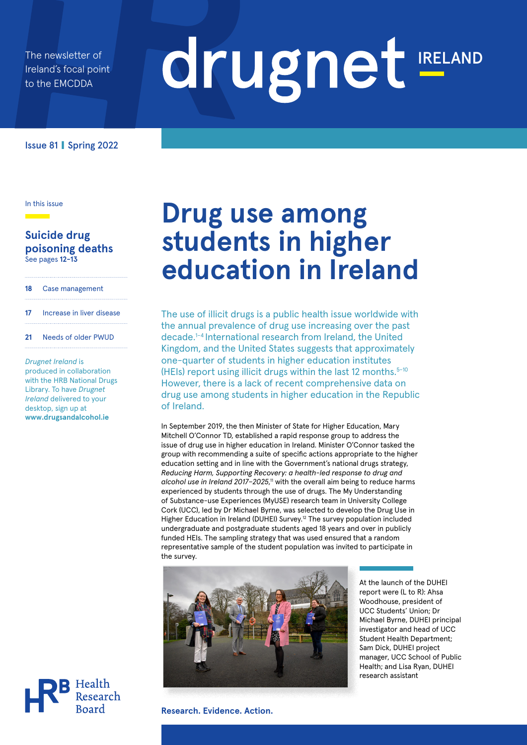The newsletter of Ireland's focal point to the EMCDDA

# drugnet IRELAND

Issue 81 **|** Spring 2022

In this issue

#### **Suicide drug poisoning deaths** See pages **12-13**

| Case management<br>18 |  |
|-----------------------|--|
|-----------------------|--|

- **17** Increase in liver disease
- **21** Needs of older PWUD

*Drugnet Ireland* is produced in collaboration with the HRB National Drugs Library. To have *Drugnet Ireland* delivered to your desktop, sign up at **www.drugsandalcohol.ie** 

# **Drug use among students in higher education in Ireland**

The use of illicit drugs is a public health issue worldwide with the annual prevalence of drug use increasing over the past decade.1–4 International research from Ireland, the United Kingdom, and the United States suggests that approximately one-quarter of students in higher education institutes (HEIs) report using illicit drugs within the last 12 months. $5-10$ However, there is a lack of recent comprehensive data on drug use among students in higher education in the Republic of Ireland.

In September 2019, the then Minister of State for Higher Education, Mary Mitchell O'Connor TD, established a rapid response group to address the issue of drug use in higher education in Ireland. Minister O'Connor tasked the group with recommending a suite of specific actions appropriate to the higher education setting and in line with the Government's national drugs strategy, *Reducing Harm, Supporting Recovery: a health-led response to drug and*  alcohol use in Ireland 2017-2025,<sup>11</sup> with the overall aim being to reduce harms experienced by students through the use of drugs. The My Understanding of Substance-use Experiences (MyUSE) research team in University College Cork (UCC), led by Dr Michael Byrne, was selected to develop the Drug Use in Higher Education in Ireland (DUHEI) Survey.12 The survey population included undergraduate and postgraduate students aged 18 years and over in publicly funded HEIs. The sampling strategy that was used ensured that a random representative sample of the student population was invited to participate in the survey.



At the launch of the DUHEI report were (L to R): Ahsa Woodhouse, president of UCC Students' Union; Dr Michael Byrne, DUHEI principal investigator and head of UCC Student Health Department; Sam Dick, DUHEI project manager, UCC School of Public Health; and Lisa Ryan, DUHEI research assistant



**Research. Evidence. Action.**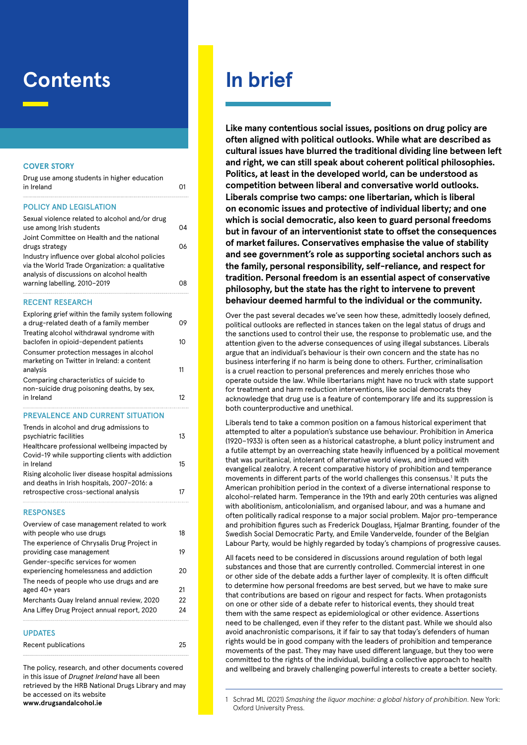# **Contents**

#### **COVER STORY**

| Drug use among students in higher education |    |
|---------------------------------------------|----|
| in Ireland                                  | O1 |
|                                             |    |

#### POLICY AND LEGISLATION

| Sexual violence related to alcohol and/or drug<br>use among Irish students                                                                      | 04 |
|-------------------------------------------------------------------------------------------------------------------------------------------------|----|
| Joint Committee on Health and the national<br>drugs strategy                                                                                    | በለ |
| Industry influence over global alcohol policies<br>via the World Trade Organization: a qualitative<br>analysis of discussions on alcohol health |    |
| warning labelling, 2010-2019                                                                                                                    | Ωď |

#### RECENT RESEARCH

| Exploring grief within the family system following<br>a drug-related death of a family member | 09 |
|-----------------------------------------------------------------------------------------------|----|
| Treating alcohol withdrawal syndrome with                                                     |    |
| baclofen in opioid-dependent patients                                                         | 10 |
| Consumer protection messages in alcohol                                                       |    |
| marketing on Twitter in Ireland: a content                                                    |    |
| analysis                                                                                      | 11 |
| Comparing characteristics of suicide to                                                       |    |
| non-suicide drug poisoning deaths, by sex,                                                    |    |
| in Ireland                                                                                    | 12 |
|                                                                                               |    |

#### PREVALENCE AND CURRENT SITUATION

| Trends in alcohol and drug admissions to           |    |
|----------------------------------------------------|----|
| psychiatric facilities                             | 13 |
| Healthcare professional wellbeing impacted by      |    |
| Covid-19 while supporting clients with addiction   |    |
| in Ireland                                         | 15 |
| Rising alcoholic liver disease hospital admissions |    |
| and deaths in Irish hospitals, 2007-2016: a        |    |
| retrospective cross-sectional analysis             | 17 |
|                                                    |    |

#### **RESPONSES**

| Overview of case management related to work |    |
|---------------------------------------------|----|
| with people who use drugs                   | 18 |
| The experience of Chrysalis Drug Project in |    |
| providing case management                   | 19 |
| Gender-specific services for women          |    |
| experiencing homelessness and addiction     | 20 |
| The needs of people who use drugs and are   |    |
| aged 40+ years                              | 21 |
| Merchants Quay Ireland annual review, 2020  | 22 |
| Ana Liffey Drug Project annual report, 2020 | 24 |
|                                             |    |

#### UPDATES

| Recent publications | 25 |
|---------------------|----|
|---------------------|----|

The policy, research, and other documents covered in this issue of *Drugnet Ireland* have all been retrieved by the HRB National Drugs Library and may be accessed on its website **www.drugsandalcohol.ie**

# **In brief**

**Like many contentious social issues, positions on drug policy are often aligned with political outlooks. While what are described as cultural issues have blurred the traditional dividing line between left and right, we can still speak about coherent political philosophies. Politics, at least in the developed world, can be understood as competition between liberal and conversative world outlooks. Liberals comprise two camps: one libertarian, which is liberal on economic issues and protective of individual liberty; and one which is social democratic, also keen to guard personal freedoms but in favour of an interventionist state to offset the consequences of market failures. Conservatives emphasise the value of stability and see government's role as supporting societal anchors such as the family, personal responsibility, self-reliance, and respect for tradition. Personal freedom is an essential aspect of conservative philosophy, but the state has the right to intervene to prevent behaviour deemed harmful to the individual or the community.**

Over the past several decades we've seen how these, admittedly loosely defined, political outlooks are reflected in stances taken on the legal status of drugs and the sanctions used to control their use, the response to problematic use, and the attention given to the adverse consequences of using illegal substances. Liberals argue that an individual's behaviour is their own concern and the state has no business interfering if no harm is being done to others. Further, criminalisation is a cruel reaction to personal preferences and merely enriches those who operate outside the law. While libertarians might have no truck with state support for treatment and harm reduction interventions, like social democrats they acknowledge that drug use is a feature of contemporary life and its suppression is both counterproductive and unethical.

Liberals tend to take a common position on a famous historical experiment that attempted to alter a population's substance use behaviour. Prohibition in America (1920–1933) is often seen as a historical catastrophe, a blunt policy instrument and a futile attempt by an overreaching state heavily influenced by a political movement that was puritanical, intolerant of alternative world views, and imbued with evangelical zealotry. A recent comparative history of prohibition and temperance movements in different parts of the world challenges this consensus.<sup>1</sup> It puts the American prohibition period in the context of a diverse international response to alcohol-related harm. Temperance in the 19th and early 20th centuries was aligned with abolitionism, anticolonialism, and organised labour, and was a humane and often politically radical response to a major social problem. Major pro-temperance and prohibition figures such as Frederick Douglass, Hjalmar Branting, founder of the Swedish Social Democratic Party, and Emile Vandervelde, founder of the Belgian Labour Party, would be highly regarded by today's champions of progressive causes.

All facets need to be considered in discussions around regulation of both legal substances and those that are currently controlled. Commercial interest in one or other side of the debate adds a further layer of complexity. It is often difficult to determine how personal freedoms are best served, but we have to make sure that contributions are based on rigour and respect for facts. When protagonists on one or other side of a debate refer to historical events, they should treat them with the same respect as epidemiological or other evidence. Assertions need to be challenged, even if they refer to the distant past. While we should also avoid anachronistic comparisons, it if fair to say that today's defenders of human rights would be in good company with the leaders of prohibition and temperance movements of the past. They may have used different language, but they too were committed to the rights of the individual, building a collective approach to health and wellbeing and bravely challenging powerful interests to create a better society.

<sup>1</sup> Schrad ML (2021) *Smashing the liquor machine: a global history of prohibition*. New York: Oxford University Press.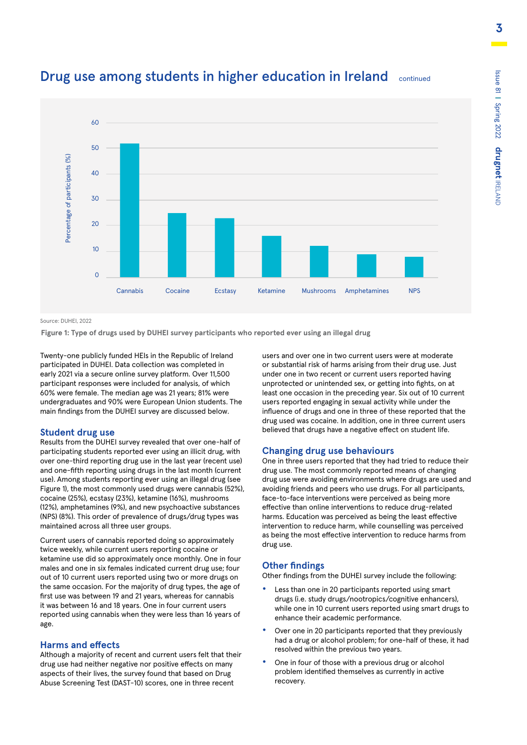

### Drug use among students in higher education in Ireland continued

Source: DUHEI, 2022

**Figure 1: Type of drugs used by DUHEI survey participants who reported ever using an illegal drug**

Twenty-one publicly funded HEIs in the Republic of Ireland participated in DUHEI. Data collection was completed in early 2021 via a secure online survey platform. Over 11,500 participant responses were included for analysis, of which 60% were female. The median age was 21 years; 81% were undergraduates and 90% were European Union students. The main findings from the DUHEI survey are discussed below.

#### **Student drug use**

Results from the DUHEI survey revealed that over one-half of participating students reported ever using an illicit drug, with over one-third reporting drug use in the last year (recent use) and one-fifth reporting using drugs in the last month (current use). Among students reporting ever using an illegal drug (see Figure 1), the most commonly used drugs were cannabis (52%), cocaine (25%), ecstasy (23%), ketamine (16%), mushrooms (12%), amphetamines (9%), and new psychoactive substances (NPS) (8%). This order of prevalence of drugs/drug types was maintained across all three user groups.

Current users of cannabis reported doing so approximately twice weekly, while current users reporting cocaine or ketamine use did so approximately once monthly. One in four males and one in six females indicated current drug use; four out of 10 current users reported using two or more drugs on the same occasion. For the majority of drug types, the age of first use was between 19 and 21 years, whereas for cannabis it was between 16 and 18 years. One in four current users reported using cannabis when they were less than 16 years of age.

#### **Harms and effects**

Although a majority of recent and current users felt that their drug use had neither negative nor positive effects on many aspects of their lives, the survey found that based on Drug Abuse Screening Test (DAST-10) scores, one in three recent

users and over one in two current users were at moderate or substantial risk of harms arising from their drug use. Just under one in two recent or current users reported having unprotected or unintended sex, or getting into fights, on at least one occasion in the preceding year. Six out of 10 current users reported engaging in sexual activity while under the influence of drugs and one in three of these reported that the drug used was cocaine. In addition, one in three current users believed that drugs have a negative effect on student life.

#### **Changing drug use behaviours**

One in three users reported that they had tried to reduce their drug use. The most commonly reported means of changing drug use were avoiding environments where drugs are used and avoiding friends and peers who use drugs. For all participants, face-to-face interventions were perceived as being more effective than online interventions to reduce drug-related harms. Education was perceived as being the least effective intervention to reduce harm, while counselling was perceived as being the most effective intervention to reduce harms from drug use.

#### **Other findings**

Other findings from the DUHEI survey include the following:

- **•** Less than one in 20 participants reported using smart drugs (i.e. study drugs/nootropics/cognitive enhancers), while one in 10 current users reported using smart drugs to enhance their academic performance.
- **•** Over one in 20 participants reported that they previously had a drug or alcohol problem; for one-half of these, it had resolved within the previous two years.
- **•** One in four of those with a previous drug or alcohol problem identified themselves as currently in active recovery.

Issue 81 **|**

Spring 2022

**drugnet**

IRELAND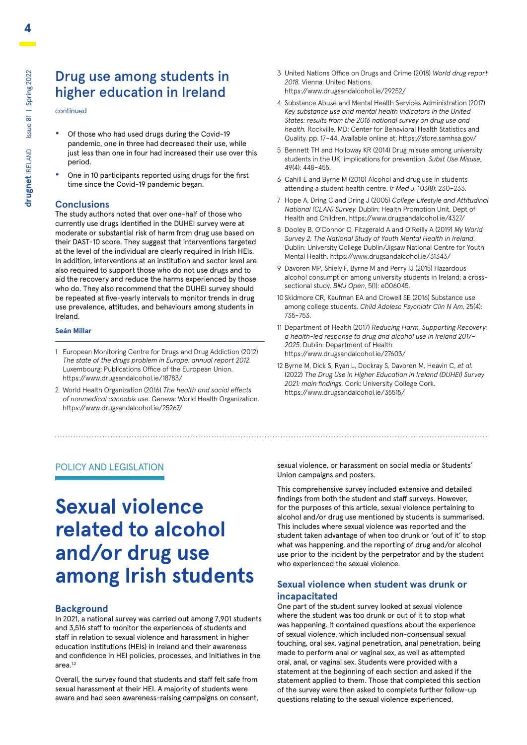### Drug use among students in higher education in Ireland

continued

- **•** Of those who had used drugs during the Covid-19 pandemic, one in three had decreased their use, while just less than one in four had increased their use over this period.
- **•** One in 10 participants reported using drugs for the first time since the Covid-19 pandemic began.

#### **Conclusions**

The study authors noted that over one-half of those who currently use drugs identified in the DUHEI survey were at moderate or substantial risk of harm from drug use based on their DAST-10 score. They suggest that interventions targeted at the level of the individual are clearly required in Irish HEIs. In addition, interventions at an institution and sector level are also required to support those who do not use drugs and to aid the recovery and reduce the harms experienced by those who do. They also recommend that the DUHEI survey should be repeated at five-yearly intervals to monitor trends in drug use prevalence, attitudes, and behaviours among students in Ireland.

#### **Seán Millar**

- 1 European Monitoring Centre for Drugs and Drug Addiction (2012) *The state of the drugs problem in Europe: annual report 2012*. Luxembourg: Publications Office of the European Union. https://www.drugsandalcohol.ie/18783/
- 2 World Health Organization (2016) *The health and social effects of nonmedical cannabis use*. Geneva: World Health Organization. https://www.drugsandalcohol.ie/25267/
- 3 United Nations Office on Drugs and Crime (2018) *World drug report 2018.* Vienna: United Nations. https://www.drugsandalcohol.ie/29252/
- 4 Substance Abuse and Mental Health Services Administration (2017) *Key substance use and mental health indicators in the United States: results from the 2016 national survey on drug use and health.* Rockville, MD: Center for Behavioral Health Statistics and Quality. pp. 17–44. Available online at: https://store.samhsa.gov/
- 5 Bennett TH and Holloway KR (2014) Drug misuse among university students in the UK: implications for prevention. *Subst Use Misuse*, 49(4): 448–455.
- 6 Cahill E and Byrne M (2010) Alcohol and drug use in students attending a student health centre. *Ir Med J*, 103(8): 230–233.
- 7 Hope A, Dring C and Dring J (2005) *College Lifestyle and Attitudinal National (CLAN) Survey.* Dublin: Health Promotion Unit, Dept of Health and Children. https://www.drugsandalcohol.ie/4327/
- 8 Dooley B, O'Connor C, Fitzgerald A and O'Reilly A (2019) *My World Survey 2: The National Study of Youth Mental Health in Ireland*. Dublin: University College Dublin/Jigsaw National Centre for Youth Mental Health. https://www.drugsandalcohol.ie/31343/
- 9 Davoren MP, Shiely F, Byrne M and Perry IJ (2015) Hazardous alcohol consumption among university students in Ireland: a crosssectional study. *BMJ Open*, 5(1): e006045.
- 10 Skidmore CR, Kaufman EA and Crowell SE (2016) Substance use among college students. *Child Adolesc Psychiatr Clin N Am*, 25(4): 735–753.
- 11 Department of Health (2017) *Reducing Harm, Supporting Recovery: a health-led response to drug and alcohol use in Ireland 2017– 2025*. Dublin: Department of Health. https://www.drugsandalcohol.ie/27603/
- 12 Byrne M, Dick S, Ryan L, Dockray S, Davoren M, Heavin C, *et al.* (2022) *The Drug Use in Higher Education in Ireland (DUHEI) Survey 2021: main findings.* Cork: University College Cork. https://www.drugsandalcohol.ie/35515/

#### POLICY AND LEGISLATION

# **Sexual violence related to alcohol and/or drug use among Irish students**

#### **Background**

In 2021, a national survey was carried out among 7,901 students and 3,516 staff to monitor the experiences of students and staff in relation to sexual violence and harassment in higher education institutions (HEIs) in Ireland and their awareness and confidence in HEI policies, processes, and initiatives in the area.1,2

Overall, the survey found that students and staff felt safe from sexual harassment at their HEI. A majority of students were aware and had seen awareness-raising campaigns on consent,

sexual violence, or harassment on social media or Students' Union campaigns and posters.

This comprehensive survey included extensive and detailed findings from both the student and staff surveys. However, for the purposes of this article, sexual violence pertaining to alcohol and/or drug use mentioned by students is summarised. This includes where sexual violence was reported and the student taken advantage of when too drunk or 'out of it' to stop what was happening, and the reporting of drug and/or alcohol use prior to the incident by the perpetrator and by the student who experienced the sexual violence.

#### **Sexual violence when student was drunk or incapacitated**

One part of the student survey looked at sexual violence where the student was too drunk or out of it to stop what was happening. It contained questions about the experience of sexual violence, which included non-consensual sexual touching, oral sex, vaginal penetration, anal penetration, being made to perform anal or vaginal sex, as well as attempted oral, anal, or vaginal sex. Students were provided with a statement at the beginning of each section and asked if the statement applied to them. Those that completed this section of the survey were then asked to complete further follow-up questions relating to the sexual violence experienced.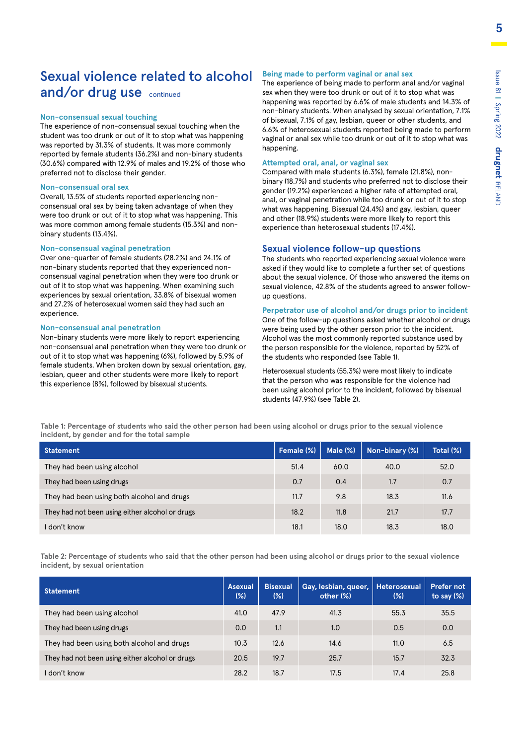### Sexual violence related to alcohol and/or drug use continued

#### **Non-consensual sexual touching**

The experience of non-consensual sexual touching when the student was too drunk or out of it to stop what was happening was reported by 31.3% of students. It was more commonly reported by female students (36.2%) and non-binary students (30.6%) compared with 12.9% of males and 19.2% of those who preferred not to disclose their gender.

#### **Non-consensual oral sex**

Overall, 13.5% of students reported experiencing nonconsensual oral sex by being taken advantage of when they were too drunk or out of it to stop what was happening. This was more common among female students (15.3%) and nonbinary students (13.4%).

#### **Non-consensual vaginal penetration**

Over one-quarter of female students (28.2%) and 24.1% of non-binary students reported that they experienced nonconsensual vaginal penetration when they were too drunk or out of it to stop what was happening. When examining such experiences by sexual orientation, 33.8% of bisexual women and 27.2% of heterosexual women said they had such an experience.

#### **Non-consensual anal penetration**

Non-binary students were more likely to report experiencing non-consensual anal penetration when they were too drunk or out of it to stop what was happening (6%), followed by 5.9% of female students. When broken down by sexual orientation, gay, lesbian, queer and other students were more likely to report this experience (8%), followed by bisexual students.

#### **Being made to perform vaginal or anal sex**

The experience of being made to perform anal and/or vaginal sex when they were too drunk or out of it to stop what was happening was reported by 6.6% of male students and 14.3% of non-binary students. When analysed by sexual orientation, 7.1% of bisexual, 7.1% of gay, lesbian, queer or other students, and 6.6% of heterosexual students reported being made to perform vaginal or anal sex while too drunk or out of it to stop what was happening.

#### **Attempted oral, anal, or vaginal sex**

Compared with male students (6.3%), female (21.8%), nonbinary (18.7%) and students who preferred not to disclose their gender (19.2%) experienced a higher rate of attempted oral, anal, or vaginal penetration while too drunk or out of it to stop what was happening. Bisexual (24.4%) and gay, lesbian, queer and other (18.9%) students were more likely to report this experience than heterosexual students (17.4%).

#### **Sexual violence follow-up questions**

The students who reported experiencing sexual violence were asked if they would like to complete a further set of questions about the sexual violence. Of those who answered the items on sexual violence, 42.8% of the students agreed to answer followup questions.

#### **Perpetrator use of alcohol and/or drugs prior to incident**

One of the follow-up questions asked whether alcohol or drugs were being used by the other person prior to the incident. Alcohol was the most commonly reported substance used by the person responsible for the violence, reported by 52% of the students who responded (see Table 1).

Heterosexual students (55.3%) were most likely to indicate that the person who was responsible for the violence had been using alcohol prior to the incident, followed by bisexual students (47.9%) (see Table 2).

**Table 1: Percentage of students who said the other person had been using alcohol or drugs prior to the sexual violence incident, by gender and for the total sample**

| <b>Statement</b>                                | Female (%) | Male $(\%)$ | Non-binary (%) | Total (%) |
|-------------------------------------------------|------------|-------------|----------------|-----------|
| They had been using alcohol                     | 51.4       | 60.0        | 40.0           | 52.0      |
| They had been using drugs                       | 0.7        | 0.4         | 1.7            | 0.7       |
| They had been using both alcohol and drugs      | 11.7       | 9.8         | 18.3           | 11.6      |
| They had not been using either alcohol or drugs | 18.2       | 11.8        | 21.7           | 17.7      |
| I don't know                                    | 18.1       | 18.0        | 18.3           | 18.0      |

**Table 2: Percentage of students who said that the other person had been using alcohol or drugs prior to the sexual violence incident, by sexual orientation**

| <b>Statement</b>                                | <b>Asexual</b><br>(%) | <b>Bisexual</b><br>(%) | Gay, lesbian, queer,<br>other (%) | Heterosexual<br>$(\%)$ | <b>Prefer not</b><br>to say $(\%)$ |
|-------------------------------------------------|-----------------------|------------------------|-----------------------------------|------------------------|------------------------------------|
| They had been using alcohol                     | 41.0                  | 47.9                   | 41.3                              | 55.3                   | 35.5                               |
| They had been using drugs                       | 0.0                   | 1.1                    | 1.0                               | 0.5                    | 0.0                                |
| They had been using both alcohol and drugs      | 10.3                  | 12.6                   | 14.6                              | 11.0                   | 6.5                                |
| They had not been using either alcohol or drugs | 20.5                  | 19.7                   | 25.7                              | 15.7                   | 32.3                               |
| l don't know                                    | 28.2                  | 18.7                   | 17.5                              | 17.4                   | 25.8                               |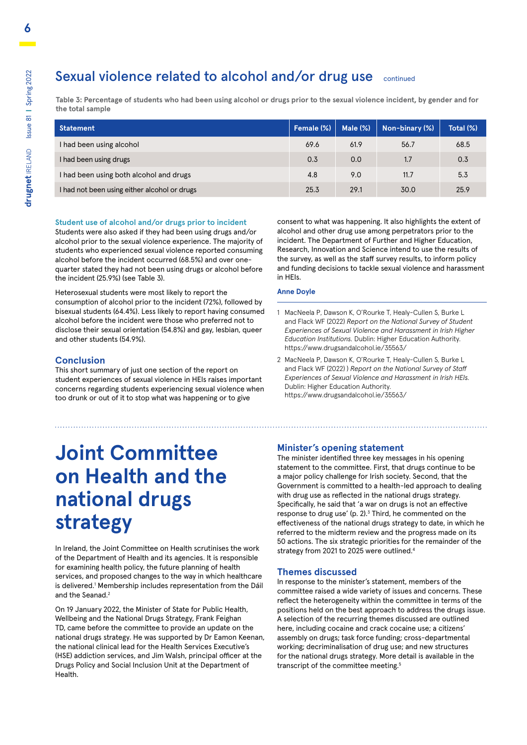### Sexual violence related to alcohol and/or drug use continued

**Table 3: Percentage of students who had been using alcohol or drugs prior to the sexual violence incident, by gender and for the total sample**

| Statement                                    | Female (%) | Male $(\%)$ | Non-binary (%) | Total (%) |
|----------------------------------------------|------------|-------------|----------------|-----------|
| I had been using alcohol                     | 69.6       | 61.9        | 56.7           | 68.5      |
| I had been using drugs                       | 0.3        | 0.0         | 1.7            | 0.3       |
| I had been using both alcohol and drugs      | 4.8        | 9.0         | 11.7           | 5.3       |
| I had not been using either alcohol or drugs | 25.3       | 29.1        | 30.0           | 25.9      |

#### **Student use of alcohol and/or drugs prior to incident**

Students were also asked if they had been using drugs and/or alcohol prior to the sexual violence experience. The majority of students who experienced sexual violence reported consuming alcohol before the incident occurred (68.5%) and over onequarter stated they had not been using drugs or alcohol before the incident (25.9%) (see Table 3).

Heterosexual students were most likely to report the consumption of alcohol prior to the incident (72%), followed by bisexual students (64.4%). Less likely to report having consumed alcohol before the incident were those who preferred not to disclose their sexual orientation (54.8%) and gay, lesbian, queer and other students (54.9%).

#### **Conclusion**

This short summary of just one section of the report on student experiences of sexual violence in HEIs raises important concerns regarding students experiencing sexual violence when too drunk or out of it to stop what was happening or to give

consent to what was happening. It also highlights the extent of alcohol and other drug use among perpetrators prior to the incident. The Department of Further and Higher Education, Research, Innovation and Science intend to use the results of the survey, as well as the staff survey results, to inform policy and funding decisions to tackle sexual violence and harassment in HEIs.

#### **Anne Doyle**

- 1 MacNeela P, Dawson K, O'Rourke T, Healy-Cullen S, Burke L and Flack WF (2022) *Report on the National Survey of Student Experiences of Sexual Violence and Harassment in Irish Higher Education Institutions.* Dublin: Higher Education Authority. https://www.drugsandalcohol.ie/35563/
- 2 MacNeela P, Dawson K, O'Rourke T, Healy-Cullen S, Burke L and Flack WF (2022) ) *Report on the National Survey of Staff Experiences of Sexual Violence and Harassment in Irish HEIs.* Dublin: Higher Education Authority. https://www.drugsandalcohol.ie/35563/

# **Joint Committee on Health and the national drugs strategy**

In Ireland, the Joint Committee on Health scrutinises the work of the Department of Health and its agencies. It is responsible for examining health policy, the future planning of health services, and proposed changes to the way in which healthcare is delivered.<sup>1</sup> Membership includes representation from the Dáil and the Seanad.<sup>2</sup>

On 19 January 2022, the Minister of State for Public Health, Wellbeing and the National Drugs Strategy, Frank Feighan TD, came before the committee to provide an update on the national drugs strategy. He was supported by Dr Eamon Keenan, the national clinical lead for the Health Services Executive's (HSE) addiction services, and Jim Walsh, principal officer at the Drugs Policy and Social Inclusion Unit at the Department of Health.

#### **Minister's opening statement**

The minister identified three key messages in his opening statement to the committee. First, that drugs continue to be a major policy challenge for Irish society. Second, that the Government is committed to a health-led approach to dealing with drug use as reflected in the national drugs strategy. Specifically, he said that 'a war on drugs is not an effective response to drug use' (p. 2). $3$  Third, he commented on the effectiveness of the national drugs strategy to date, in which he referred to the midterm review and the progress made on its 50 actions. The six strategic priorities for the remainder of the strategy from 2021 to 2025 were outlined.<sup>4</sup>

#### **Themes discussed**

In response to the minister's statement, members of the committee raised a wide variety of issues and concerns. These reflect the heterogeneity within the committee in terms of the positions held on the best approach to address the drugs issue. A selection of the recurring themes discussed are outlined here, including cocaine and crack cocaine use; a citizens' assembly on drugs; task force funding; cross-departmental working; decriminalisation of drug use; and new structures for the national drugs strategy. More detail is available in the transcript of the committee meeting.<sup>5</sup>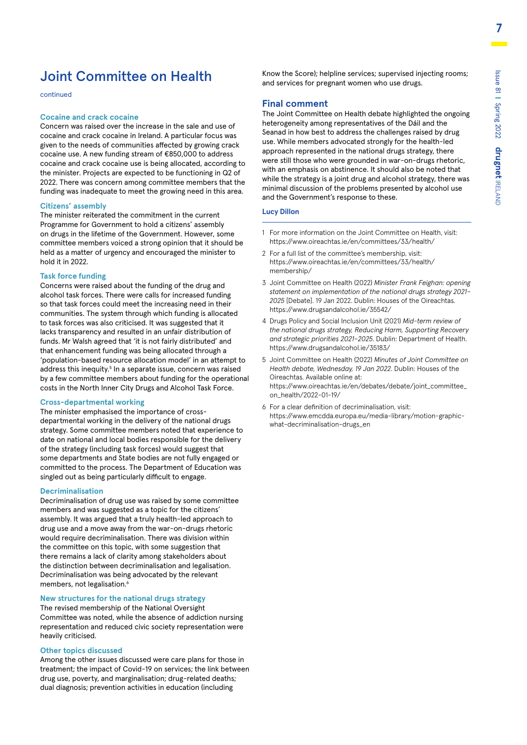### Joint Committee on Health

continued

#### **Cocaine and crack cocaine**

Concern was raised over the increase in the sale and use of cocaine and crack cocaine in Ireland. A particular focus was given to the needs of communities affected by growing crack cocaine use. A new funding stream of €850,000 to address cocaine and crack cocaine use is being allocated, according to the minister. Projects are expected to be functioning in Q2 of 2022. There was concern among committee members that the funding was inadequate to meet the growing need in this area.

#### **Citizens' assembly**

The minister reiterated the commitment in the current Programme for Government to hold a citizens' assembly on drugs in the lifetime of the Government. However, some committee members voiced a strong opinion that it should be held as a matter of urgency and encouraged the minister to hold it in 2022.

#### **Task force funding**

Concerns were raised about the funding of the drug and alcohol task forces. There were calls for increased funding so that task forces could meet the increasing need in their communities. The system through which funding is allocated to task forces was also criticised. It was suggested that it lacks transparency and resulted in an unfair distribution of funds. Mr Walsh agreed that 'it is not fairly distributed' and that enhancement funding was being allocated through a 'population-based resource allocation model' in an attempt to address this inequity.<sup>5</sup> In a separate issue, concern was raised by a few committee members about funding for the operational costs in the North Inner City Drugs and Alcohol Task Force.

#### **Cross-departmental working**

The minister emphasised the importance of crossdepartmental working in the delivery of the national drugs strategy. Some committee members noted that experience to date on national and local bodies responsible for the delivery of the strategy (including task forces) would suggest that some departments and State bodies are not fully engaged or committed to the process. The Department of Education was singled out as being particularly difficult to engage.

#### **Decriminalisation**

Decriminalisation of drug use was raised by some committee members and was suggested as a topic for the citizens' assembly. It was argued that a truly health-led approach to drug use and a move away from the war-on-drugs rhetoric would require decriminalisation. There was division within the committee on this topic, with some suggestion that there remains a lack of clarity among stakeholders about the distinction between decriminalisation and legalisation. Decriminalisation was being advocated by the relevant members, not legalisation.<sup>6</sup>

#### **New structures for the national drugs strategy**

The revised membership of the National Oversight Committee was noted, while the absence of addiction nursing representation and reduced civic society representation were heavily criticised.

#### **Other topics discussed**

Among the other issues discussed were care plans for those in treatment; the impact of Covid-19 on services; the link between drug use, poverty, and marginalisation; drug-related deaths; dual diagnosis; prevention activities in education (including

Know the Score); helpline services; supervised injecting rooms; and services for pregnant women who use drugs.

#### **Final comment**

The Joint Committee on Health debate highlighted the ongoing heterogeneity among representatives of the Dáil and the Seanad in how best to address the challenges raised by drug use. While members advocated strongly for the health-led approach represented in the national drugs strategy, there were still those who were grounded in war-on-drugs rhetoric, with an emphasis on abstinence. It should also be noted that while the strategy is a joint drug and alcohol strategy, there was minimal discussion of the problems presented by alcohol use and the Government's response to these.

#### **Lucy Dillon**

- 1 For more information on the Joint Committee on Health, visit: https://www.oireachtas.ie/en/committees/33/health/
- 2 For a full list of the committee's membership, visit: [https://www.oireachtas.ie/en/committees/33/health/](https://www.oireachtas.ie/en/committees/33/health/membership/) [membership/](https://www.oireachtas.ie/en/committees/33/health/membership/)
- 3 Joint Committee on Health (2022) *Minister Frank Feighan: opening statement on implementation of the national drugs strategy 2021– 2025* [Debate]. 19 Jan 2022. Dublin: Houses of the Oireachtas. https://www.drugsandalcohol.ie/35542/
- 4 Drugs Policy and Social Inclusion Unit (2021) *Mid-term review of the national drugs strategy, Reducing Harm, Supporting Recovery and strategic priorities 2021–2025*. Dublin: Department of Health. https://www.drugsandalcohol.ie/35183/
- 5 Joint Committee on Health (2022) *Minutes of Joint Committee on Health debate, Wednesday, 19 Jan 2022*. Dublin: Houses of the Oireachtas. Available online at: [https://www.oireachtas.ie/en/debates/debate/joint\\_committee\\_](https://www.oireachtas.ie/en/debates/debate/joint_committee_on_health/2022-01-19/) [on\\_health/2022-01-19/](https://www.oireachtas.ie/en/debates/debate/joint_committee_on_health/2022-01-19/)
- 6 For a clear definition of decriminalisation, visit: https://www.emcdda.europa.eu/media-library/motion-graphicwhat-decriminalisation-drugs\_en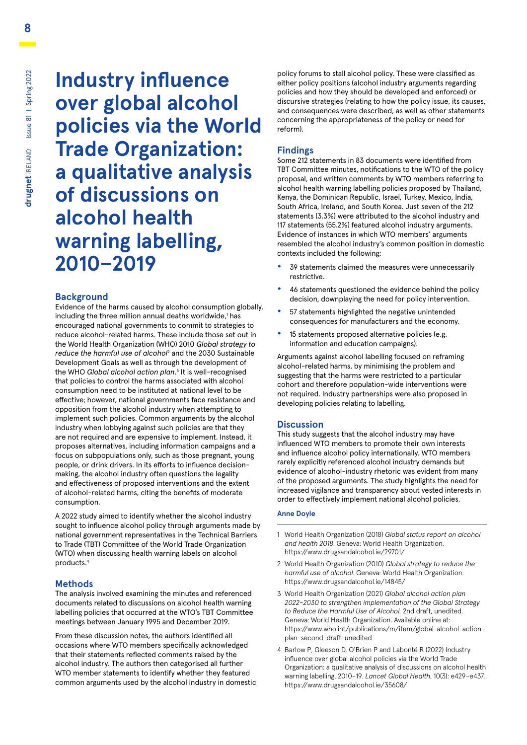**Industry influence over global alcohol policies via the World Trade Organization: a qualitative analysis of discussions on alcohol health warning labelling, 2010–2019**

#### **Background**

Evidence of the harms caused by alcohol consumption globally, including the three million annual deaths worldwide,<sup>1</sup> has encouraged national governments to commit to strategies to reduce alcohol-related harms. These include those set out in the World Health Organization (WHO) 2010 *Global strategy to reduce the harmful use of alcohol*<sup>2</sup> and the 2030 Sustainable Development Goals as well as through the development of the WHO *Global alcohol action plan*. 3 It is well-recognised that policies to control the harms associated with alcohol consumption need to be instituted at national level to be effective; however, national governments face resistance and opposition from the alcohol industry when attempting to implement such policies. Common arguments by the alcohol industry when lobbying against such policies are that they are not required and are expensive to implement. Instead, it proposes alternatives, including information campaigns and a focus on subpopulations only, such as those pregnant, young people, or drink drivers. In its efforts to influence decisionmaking, the alcohol industry often questions the legality and effectiveness of proposed interventions and the extent of alcohol-related harms, citing the benefits of moderate consumption.

A 2022 study aimed to identify whether the alcohol industry sought to influence alcohol policy through arguments made by national government representatives in the Technical Barriers to Trade (TBT) Committee of the World Trade Organization (WTO) when discussing health warning labels on alcohol products.4

#### **Methods**

The analysis involved examining the minutes and referenced documents related to discussions on alcohol health warning labelling policies that occurred at the WTO's TBT Committee meetings between January 1995 and December 2019.

From these discussion notes, the authors identified all occasions where WTO members specifically acknowledged that their statements reflected comments raised by the alcohol industry. The authors then categorised all further WTO member statements to identify whether they featured common arguments used by the alcohol industry in domestic policy forums to stall alcohol policy. These were classified as either policy positions (alcohol industry arguments regarding policies and how they should be developed and enforced) or discursive strategies (relating to how the policy issue, its causes, and consequences were described, as well as other statements concerning the appropriateness of the policy or need for reform).

#### **Findings**

Some 212 statements in 83 documents were identified from TBT Committee minutes, notifications to the WTO of the policy proposal, and written comments by WTO members referring to alcohol health warning labelling policies proposed by Thailand, Kenya, the Dominican Republic, Israel, Turkey, Mexico, India, South Africa, Ireland, and South Korea. Just seven of the 212 statements (3.3%) were attributed to the alcohol industry and 117 statements (55.2%) featured alcohol industry arguments. Evidence of instances in which WTO members' arguments resembled the alcohol industry's common position in domestic contexts included the following:

- **•** 39 statements claimed the measures were unnecessarily restrictive.
- **•** 46 statements questioned the evidence behind the policy decision, downplaying the need for policy intervention.
- **•** 57 statements highlighted the negative unintended consequences for manufacturers and the economy.
- **•** 15 statements proposed alternative policies (e.g. information and education campaigns).

Arguments against alcohol labelling focused on reframing alcohol-related harms, by minimising the problem and suggesting that the harms were restricted to a particular cohort and therefore population-wide interventions were not required. Industry partnerships were also proposed in developing policies relating to labelling.

#### **Discussion**

This study suggests that the alcohol industry may have influenced WTO members to promote their own interests and influence alcohol policy internationally. WTO members rarely explicitly referenced alcohol industry demands but evidence of alcohol-industry rhetoric was evident from many of the proposed arguments. The study highlights the need for increased vigilance and transparency about vested interests in order to effectively implement national alcohol policies.

#### **Anne Doyle**

- 1 World Health Organization (2018) *Global status report on alcohol and health 2018*. Geneva: World Health Organization. https://www.drugsandalcohol.ie/29701/
- 2 World Health Organization (2010) *Global strategy to reduce the harmful use of alcohol*. Geneva: World Health Organization. https://www.drugsandalcohol.ie/14845/
- 3 World Health Organization (2021) *Global alcohol action plan 2022–2030 to strengthen implementation of the Global Strategy to Reduce the Harmful Use of Alcohol.* 2nd draft, unedited. Geneva: World Health Organization. Available online at: https://www.who.int/publications/m/item/global-alcohol-actionplan-second-draft-unedited
- 4 Barlow P, Gleeson D, O'Brien P and Labonté R (2022) Industry influence over global alcohol policies via the World Trade Organization: a qualitative analysis of discussions on alcohol health warning labelling, 2010–19. *Lancet Global Health*, 10(3): e429–e437. https://www.drugsandalcohol.ie/35608/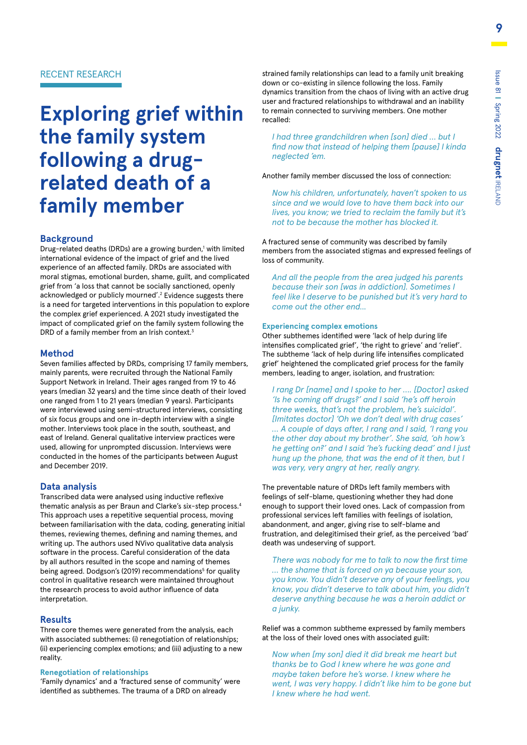#### RECENT RESEARCH

# **Exploring grief within the family system following a drugrelated death of a family member**

#### **Background**

Drug-related deaths (DRDs) are a growing burden,<sup>1</sup> with limited international evidence of the impact of grief and the lived experience of an affected family. DRDs are associated with moral stigmas, emotional burden, shame, guilt, and complicated grief from 'a loss that cannot be socially sanctioned, openly acknowledged or publicly mourned'.2 Evidence suggests there is a need for targeted interventions in this population to explore the complex grief experienced. A 2021 study investigated the impact of complicated grief on the family system following the DRD of a family member from an Irish context.<sup>3</sup>

#### **Method**

Seven families affected by DRDs, comprising 17 family members, mainly parents, were recruited through the National Family Support Network in Ireland. Their ages ranged from 19 to 46 years (median 32 years) and the time since death of their loved one ranged from 1 to 21 years (median 9 years). Participants were interviewed using semi-structured interviews, consisting of six focus groups and one in-depth interview with a single mother. Interviews took place in the south, southeast, and east of Ireland. General qualitative interview practices were used, allowing for unprompted discussion. Interviews were conducted in the homes of the participants between August and December 2019.

#### **Data analysis**

Transcribed data were analysed using inductive reflexive thematic analysis as per Braun and Clarke's six-step process.4 This approach uses a repetitive sequential process, moving between familiarisation with the data, coding, generating initial themes, reviewing themes, defining and naming themes, and writing up. The authors used NVivo qualitative data analysis software in the process. Careful consideration of the data by all authors resulted in the scope and naming of themes being agreed. Dodgson's (2019) recommendations<sup>5</sup> for quality control in qualitative research were maintained throughout the research process to avoid author influence of data interpretation.

#### **Results**

Three core themes were generated from the analysis, each with associated subthemes: (i) renegotiation of relationships; (ii) experiencing complex emotions; and (iii) adjusting to a new reality.

#### **Renegotiation of relationships**

'Family dynamics' and a 'fractured sense of community' were identified as subthemes. The trauma of a DRD on already

strained family relationships can lead to a family unit breaking down or co-existing in silence following the loss. Family dynamics transition from the chaos of living with an active drug user and fractured relationships to withdrawal and an inability to remain connected to surviving members. One mother recalled:

*I had three grandchildren when [son] died … but I find now that instead of helping them [pause] I kinda neglected 'em.*

Another family member discussed the loss of connection:

*Now his children, unfortunately, haven't spoken to us since and we would love to have them back into our lives, you know; we tried to reclaim the family but it's not to be because the mother has blocked it.*

A fractured sense of community was described by family members from the associated stigmas and expressed feelings of loss of community.

*And all the people from the area judged his parents because their son [was in addiction]. Sometimes I feel like I deserve to be punished but it's very hard to come out the other end...*

#### **Experiencing complex emotions**

Other subthemes identified were 'lack of help during life intensifies complicated grief', 'the right to grieve' and 'relief'. The subtheme 'lack of help during life intensifies complicated grief' heightened the complicated grief process for the family members, leading to anger, isolation, and frustration:

*I rang Dr [name] and I spoke to her …. [Doctor] asked 'Is he coming off drugs?' and I said 'he's off heroin three weeks, that's not the problem, he's suicidal'. [Imitates doctor] 'Oh we don't deal with drug cases' … A couple of days after, I rang and I said, 'I rang you the other day about my brother'. She said, 'oh how's he getting on?' and I said 'he's fucking dead' and I just hung up the phone, that was the end of it then, but I was very, very angry at her, really angry.*

The preventable nature of DRDs left family members with feelings of self-blame, questioning whether they had done enough to support their loved ones. Lack of compassion from professional services left families with feelings of isolation, abandonment, and anger, giving rise to self-blame and frustration, and delegitimised their grief, as the perceived 'bad' death was undeserving of support.

*There was nobody for me to talk to now the first time … the shame that is forced on ya because your son, you know. You didn't deserve any of your feelings, you know, you didn't deserve to talk about him, you didn't deserve anything because he was a heroin addict or a junky.*

Relief was a common subtheme expressed by family members at the loss of their loved ones with associated guilt:

*Now when [my son] died it did break me heart but thanks be to God I knew where he was gone and maybe taken before he's worse. I knew where he went, I was very happy. I didn't like him to be gone but I knew where he had went.*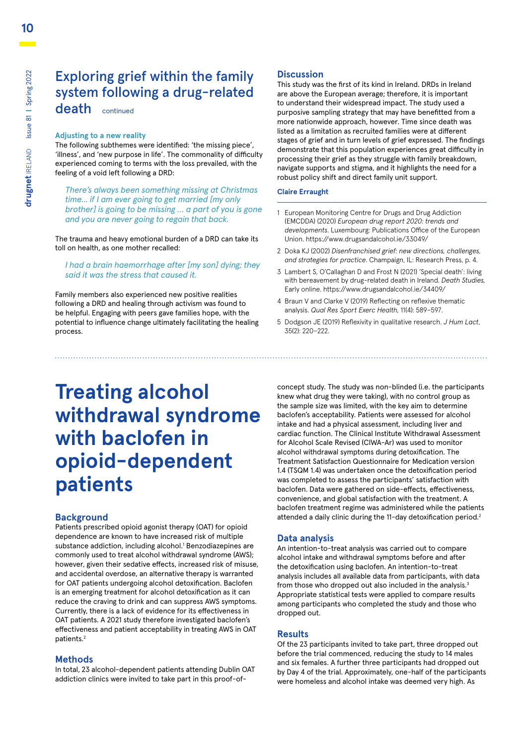## Exploring grief within the family system following a drug-related

death continued

#### **Adjusting to a new reality**

The following subthemes were identified: 'the missing piece', 'illness', and 'new purpose in life'. The commonality of difficulty experienced coming to terms with the loss prevailed, with the feeling of a void left following a DRD:

*There's always been something missing at Christmas time... if I am ever going to get married [my only brother] is going to be missing … a part of you is gone and you are never going to regain that back.*

The trauma and heavy emotional burden of a DRD can take its toll on health, as one mother recalled:

#### *I had a brain haemorrhage after [my son] dying; they said it was the stress that caused it.*

Family members also experienced new positive realities following a DRD and healing through activism was found to be helpful. Engaging with peers gave families hope, with the potential to influence change ultimately facilitating the healing process.

#### **Discussion**

This study was the first of its kind in Ireland. DRDs in Ireland are above the European average; therefore, it is important to understand their widespread impact. The study used a purposive sampling strategy that may have benefitted from a more nationwide approach, however. Time since death was listed as a limitation as recruited families were at different stages of grief and in turn levels of grief expressed. The findings demonstrate that this population experiences great difficulty in processing their grief as they struggle with family breakdown, navigate supports and stigma, and it highlights the need for a robust policy shift and direct family unit support.

#### **Claire Erraught**

- 1 European Monitoring Centre for Drugs and Drug Addiction (EMCDDA) (2020) *European drug report 2020: trends and developments*. Luxembourg: Publications Office of the European Union. https://www.drugsandalcohol.ie/33049/
- 2 Doka KJ (2002) *Disenfranchised grief: new directions, challenges, and strategies for practice*. Champaign, IL: Research Press, p. 4.
- 3 Lambert S, O'Callaghan D and Frost N (2021) 'Special death': living with bereavement by drug-related death in Ireland. *Death Studies,* Early online. https://www.drugsandalcohol.ie/34409/
- 4 Braun V and Clarke V (2019) Reflecting on reflexive thematic analysis. *Qual Res Sport Exerc Health,* 11(4): 589–597.
- 5 Dodgson JE (2019) Reflexivity in qualitative research. *J Hum Lact*, 35(2): 220–222.

# **Treating alcohol withdrawal syndrome with baclofen in opioid-dependent patients**

#### **Background**

Patients prescribed opioid agonist therapy (OAT) for opioid dependence are known to have increased risk of multiple substance addiction, including alcohol.<sup>1</sup> Benzodiazepines are commonly used to treat alcohol withdrawal syndrome (AWS); however, given their sedative effects, increased risk of misuse, and accidental overdose, an alternative therapy is warranted for OAT patients undergoing alcohol detoxification. Baclofen is an emerging treatment for alcohol detoxification as it can reduce the craving to drink and can suppress AWS symptoms. Currently, there is a lack of evidence for its effectiveness in OAT patients. A 2021 study therefore investigated baclofen's effectiveness and patient acceptability in treating AWS in OAT patients.2

#### **Methods**

In total, 23 alcohol-dependent patients attending Dublin OAT addiction clinics were invited to take part in this proof-of-

concept study. The study was non-blinded (i.e. the participants knew what drug they were taking), with no control group as the sample size was limited, with the key aim to determine baclofen's acceptability. Patients were assessed for alcohol intake and had a physical assessment, including liver and cardiac function. The Clinical Institute Withdrawal Assessment for Alcohol Scale Revised (CIWA-Ar) was used to monitor alcohol withdrawal symptoms during detoxification. The Treatment Satisfaction Questionnaire for Medication version 1.4 (TSQM 1.4) was undertaken once the detoxification period was completed to assess the participants' satisfaction with baclofen. Data were gathered on side-effects, effectiveness, convenience, and global satisfaction with the treatment. A baclofen treatment regime was administered while the patients attended a daily clinic during the 11-day detoxification period.<sup>2</sup>

#### **Data analysis**

An intention-to-treat analysis was carried out to compare alcohol intake and withdrawal symptoms before and after the detoxification using baclofen. An intention-to-treat analysis includes all available data from participants, with data from those who dropped out also included in the analysis. $3$ Appropriate statistical tests were applied to compare results among participants who completed the study and those who dropped out.

#### **Results**

Of the 23 participants invited to take part, three dropped out before the trial commenced, reducing the study to 14 males and six females. A further three participants had dropped out by Day 4 of the trial. Approximately, one-half of the participants were homeless and alcohol intake was deemed very high. As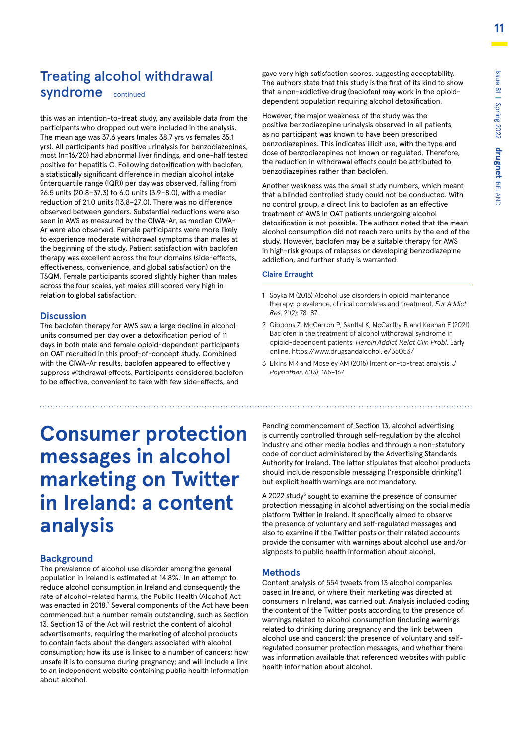### Treating alcohol withdrawal syndrome continued

this was an intention-to-treat study, any available data from the participants who dropped out were included in the analysis. The mean age was 37.6 years (males 38.7 yrs vs females 35.1 yrs). All participants had positive urinalysis for benzodiazepines, most (n=16/20) had abnormal liver findings, and one-half tested positive for hepatitis C. Following detoxification with baclofen, a statistically significant difference in median alcohol intake (interquartile range (IQR)) per day was observed, falling from 26.5 units (20.8–37.3) to 6.0 units (3.9–8.0), with a median reduction of 21.0 units (13.8–27.0). There was no difference observed between genders. Substantial reductions were also seen in AWS as measured by the CIWA-Ar, as median CIWA-Ar were also observed. Female participants were more likely to experience moderate withdrawal symptoms than males at the beginning of the study. Patient satisfaction with baclofen therapy was excellent across the four domains (side-effects, effectiveness, convenience, and global satisfaction) on the TSQM. Female participants scored slightly higher than males across the four scales, yet males still scored very high in relation to global satisfaction.

#### **Discussion**

The baclofen therapy for AWS saw a large decline in alcohol units consumed per day over a detoxification period of 11 days in both male and female opioid-dependent participants on OAT recruited in this proof-of-concept study. Combined with the CIWA-Ar results, baclofen appeared to effectively suppress withdrawal effects. Participants considered baclofen to be effective, convenient to take with few side-effects, and

# **Consumer protection messages in alcohol marketing on Twitter in Ireland: a content analysis**

#### **Background**

The prevalence of alcohol use disorder among the general population in Ireland is estimated at 14.8%.<sup>1</sup> In an attempt to reduce alcohol consumption in Ireland and consequently the rate of alcohol-related harms, the Public Health (Alcohol) Act was enacted in 2018.<sup>2</sup> Several components of the Act have been commenced but a number remain outstanding, such as Section 13. Section 13 of the Act will restrict the content of alcohol advertisements, requiring the marketing of alcohol products to contain facts about the dangers associated with alcohol consumption; how its use is linked to a number of cancers; how unsafe it is to consume during pregnancy; and will include a link to an independent website containing public health information about alcohol.

gave very high satisfaction scores, suggesting acceptability. The authors state that this study is the first of its kind to show that a non-addictive drug (baclofen) may work in the opioiddependent population requiring alcohol detoxification.

However, the major weakness of the study was the positive benzodiazepine urinalysis observed in all patients, as no participant was known to have been prescribed benzodiazepines. This indicates illicit use, with the type and dose of benzodiazepines not known or regulated. Therefore, the reduction in withdrawal effects could be attributed to benzodiazepines rather than baclofen.

Another weakness was the small study numbers, which meant that a blinded controlled study could not be conducted. With no control group, a direct link to baclofen as an effective treatment of AWS in OAT patients undergoing alcohol detoxification is not possible. The authors noted that the mean alcohol consumption did not reach zero units by the end of the study. However, baclofen may be a suitable therapy for AWS in high-risk groups of relapses or developing benzodiazepine addiction, and further study is warranted.

#### **Claire Erraught**

- 1 Soyka M (2015) Alcohol use disorders in opioid maintenance therapy: prevalence, clinical correlates and treatment. *Eur Addict Res*, 21(2): 78–87.
- 2 Gibbons Z, McCarron P, Santlal K, McCarthy R and Keenan E (2021) Baclofen in the treatment of alcohol withdrawal syndrome in opioid-dependent patients. *Heroin Addict Relat Clin Probl*, Early online. https://www.drugsandalcohol.ie/35053/
- 3 Elkins MR and Moseley AM (2015) Intention-to-treat analysis. *J Physiother*, 61(3): 165–167.

Pending commencement of Section 13, alcohol advertising is currently controlled through self-regulation by the alcohol industry and other media bodies and through a non-statutory code of conduct administered by the Advertising Standards Authority for Ireland. The latter stipulates that alcohol products should include responsible messaging ('responsible drinking') but explicit health warnings are not mandatory.

A 2022 study<sup>3</sup> sought to examine the presence of consumer protection messaging in alcohol advertising on the social media platform Twitter in Ireland. It specifically aimed to observe the presence of voluntary and self-regulated messages and also to examine if the Twitter posts or their related accounts provide the consumer with warnings about alcohol use and/or signposts to public health information about alcohol.

#### **Methods**

Content analysis of 554 tweets from 13 alcohol companies based in Ireland, or where their marketing was directed at consumers in Ireland, was carried out. Analysis included coding the content of the Twitter posts according to the presence of warnings related to alcohol consumption (including warnings related to drinking during pregnancy and the link between alcohol use and cancers); the presence of voluntary and selfregulated consumer protection messages; and whether there was information available that referenced websites with public health information about alcohol.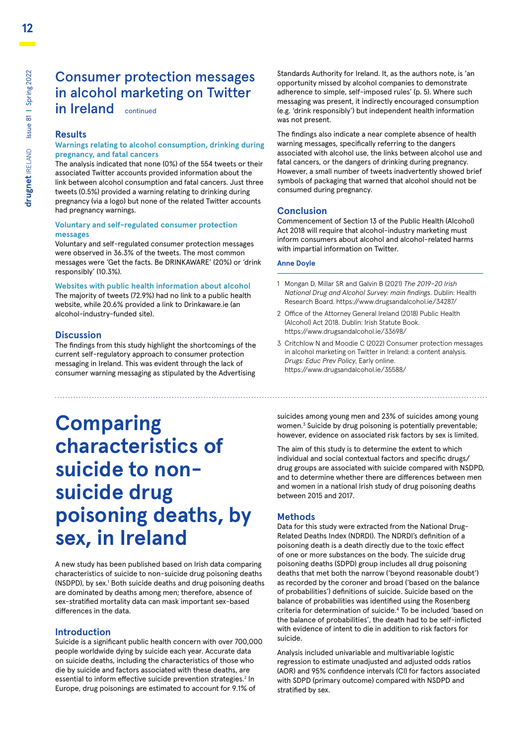### Consumer protection messages in alcohol marketing on Twitter in Ireland continued

#### **Results**

#### **Warnings relating to alcohol consumption, drinking during pregnancy, and fatal cancers**

The analysis indicated that none (0%) of the 554 tweets or their associated Twitter accounts provided information about the link between alcohol consumption and fatal cancers. Just three tweets (0.5%) provided a warning relating to drinking during pregnancy (via a logo) but none of the related Twitter accounts had pregnancy warnings.

#### **Voluntary and self-regulated consumer protection messages**

Voluntary and self-regulated consumer protection messages were observed in 36.3% of the tweets. The most common messages were 'Get the facts. Be DRINKAWARE' (20%) or 'drink responsibly' (10.3%).

#### **Websites with public health information about alcohol**

The majority of tweets (72.9%) had no link to a public health website, while 20.6% provided a link to Drinkaware.ie (an alcohol-industry-funded site).

#### **Discussion**

The findings from this study highlight the shortcomings of the current self-regulatory approach to consumer protection messaging in Ireland. This was evident through the lack of consumer warning messaging as stipulated by the Advertising

#### Standards Authority for Ireland. It, as the authors note, is 'an opportunity missed by alcohol companies to demonstrate adherence to simple, self-imposed rules' (p. 5). Where such messaging was present, it indirectly encouraged consumption (e.g. 'drink responsibly') but independent health information was not present.

The findings also indicate a near complete absence of health warning messages, specifically referring to the dangers associated with alcohol use, the links between alcohol use and fatal cancers, or the dangers of drinking during pregnancy. However, a small number of tweets inadvertently showed brief symbols of packaging that warned that alcohol should not be consumed during pregnancy.

#### **Conclusion**

Commencement of Section 13 of the Public Health (Alcohol) Act 2018 will require that alcohol-industry marketing must inform consumers about alcohol and alcohol-related harms with impartial information on Twitter.

#### **Anne Doyle**

- 1 Mongan D, Millar SR and Galvin B (2021) *The 2019–20 Irish National Drug and Alcohol Survey: main findings*. Dublin: Health Research Board. https://www.drugsandalcohol.ie/34287/
- 2 Office of the Attorney General Ireland (2018) Public Health (Alcohol) Act 2018. Dublin: Irish Statute Book. https://www.drugsandalcohol.ie/33698/
- 3 Critchlow N and Moodie C (2022) Consumer protection messages in alcohol marketing on Twitter in Ireland: a content analysis. *Drugs: Educ Prev Policy*, Early online. https://www.drugsandalcohol.ie/35588/

# **Comparing characteristics of suicide to nonsuicide drug poisoning deaths, by sex, in Ireland**

A new study has been published based on Irish data comparing characteristics of suicide to non-suicide drug poisoning deaths (NSDPD), by sex.<sup>1</sup> Both suicide deaths and drug poisoning deaths are dominated by deaths among men; therefore, absence of sex-stratified mortality data can mask important sex-based differences in the data.

#### **Introduction**

Suicide is a significant public health concern with over 700,000 people worldwide dying by suicide each year. Accurate data on suicide deaths, including the characteristics of those who die by suicide and factors associated with these deaths, are essential to inform effective suicide prevention strategies.<sup>2</sup> In Europe, drug poisonings are estimated to account for 9.1% of

suicides among young men and 23% of suicides among young women.<sup>3</sup> Suicide by drug poisoning is potentially preventable; however, evidence on associated risk factors by sex is limited.

The aim of this study is to determine the extent to which individual and social contextual factors and specific drugs/ drug groups are associated with suicide compared with NSDPD, and to determine whether there are differences between men and women in a national Irish study of drug poisoning deaths between 2015 and 2017.

#### **Methods**

Data for this study were extracted from the National Drug-Related Deaths Index (NDRDI). The NDRDI's definition of a poisoning death is a death directly due to the toxic effect of one or more substances on the body. The suicide drug poisoning deaths (SDPD) group includes all drug poisoning deaths that met both the narrow ('beyond reasonable doubt') as recorded by the coroner and broad ('based on the balance of probabilities') definitions of suicide. Suicide based on the balance of probabilities was identified using the Rosenberg criteria for determination of suicide.4 To be included 'based on the balance of probabilities', the death had to be self-inflicted with evidence of intent to die in addition to risk factors for suicide.

Analysis included univariable and multivariable logistic regression to estimate unadjusted and adjusted odds ratios (AOR) and 95% confidence intervals (CI) for factors associated with SDPD (primary outcome) compared with NSDPD and stratified by sex.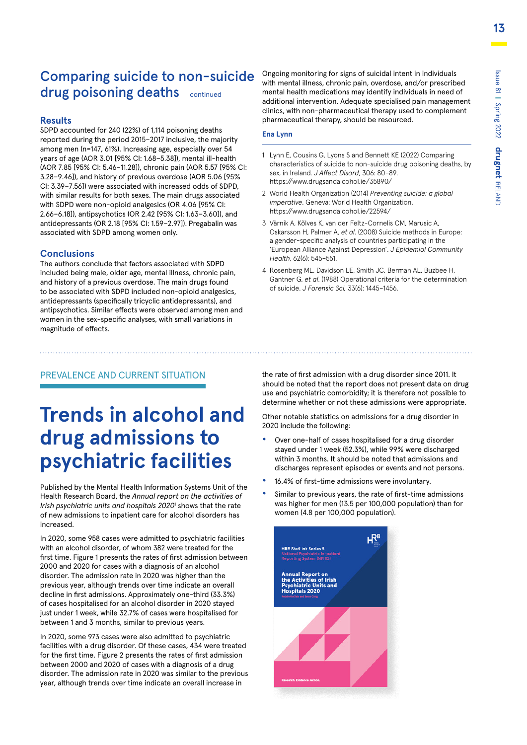### Comparing suicide to non-suicide drug poisoning deaths continued

#### **Results**

SDPD accounted for 240 (22%) of 1,114 poisoning deaths reported during the period 2015–2017 inclusive, the majority among men (n=147, 61%). Increasing age, especially over 54 years of age (AOR 3.01 [95% CI: 1.68–5.38]), mental ill-health (AOR 7.85 [95% CI: 5.46–11.28]), chronic pain (AOR 5.57 [95% CI: 3.28–9.46]), and history of previous overdose (AOR 5.06 [95% CI: 3.39–7.56]) were associated with increased odds of SDPD, with similar results for both sexes. The main drugs associated with SDPD were non-opioid analgesics (OR 4.06 [95% CI: 2.66–6.18]), antipsychotics (OR 2.42 [95% CI: 1.63–3.60]), and antidepressants (OR 2.18 [95% CI: 1.59–2.97]). Pregabalin was associated with SDPD among women only.

#### **Conclusions**

The authors conclude that factors associated with SDPD included being male, older age, mental illness, chronic pain, and history of a previous overdose. The main drugs found to be associated with SDPD included non-opioid analgesics, antidepressants (specifically tricyclic antidepressants), and antipsychotics. Similar effects were observed among men and women in the sex-specific analyses, with small variations in magnitude of effects.

Ongoing monitoring for signs of suicidal intent in individuals with mental illness, chronic pain, overdose, and/or prescribed mental health medications may identify individuals in need of additional intervention. Adequate specialised pain management clinics, with non-pharmaceutical therapy used to complement pharmaceutical therapy, should be resourced.

#### **Ena Lynn**

- 1 Lynn E, Cousins G, Lyons S and Bennett KE (2022) Comparing characteristics of suicide to non-suicide drug poisoning deaths, by sex, in Ireland. *J Affect Disord*, 306: 80–89. https://www.drugsandalcohol.ie/35890/
- 2 World Health Organization (2014) *Preventing suicide: a global imperative*. Geneva: World Health Organization. https://www.drugsandalcohol.ie/22594/
- 3 Värnik A, Kõlves K, van der Feltz-Cornelis CM, Marusic A, Oskarsson H, Palmer A, *et al*. (2008) Suicide methods in Europe: a gender-specific analysis of countries participating in the 'European Alliance Against Depression'. *J Epidemiol Community Health*, 62(6): 545–551.
- 4 Rosenberg ML, Davidson LE, Smith JC, Berman AL, Buzbee H, Gantner G, *et al*. (1988) Operational criteria for the determination of suicide. *J Forensic Sci,* 33(6): 1445–1456.

#### PREVALENCE AND CURRENT SITUATION

# **Trends in alcohol and drug admissions to psychiatric facilities**

Published by the Mental Health Information Systems Unit of the Health Research Board, the *Annual report on the activities of*  Irish psychiatric units and hospitals 2020<sup>1</sup> shows that the rate of new admissions to inpatient care for alcohol disorders has increased.

In 2020, some 958 cases were admitted to psychiatric facilities with an alcohol disorder, of whom 382 were treated for the first time. Figure 1 presents the rates of first admission between 2000 and 2020 for cases with a diagnosis of an alcohol disorder. The admission rate in 2020 was higher than the previous year, although trends over time indicate an overall decline in first admissions. Approximately one-third (33.3%) of cases hospitalised for an alcohol disorder in 2020 stayed just under 1 week, while 32.7% of cases were hospitalised for between 1 and 3 months, similar to previous years.

In 2020, some 973 cases were also admitted to psychiatric facilities with a drug disorder. Of these cases, 434 were treated for the first time. Figure 2 presents the rates of first admission between 2000 and 2020 of cases with a diagnosis of a drug disorder. The admission rate in 2020 was similar to the previous year, although trends over time indicate an overall increase in

the rate of first admission with a drug disorder since 2011. It should be noted that the report does not present data on drug use and psychiatric comorbidity; it is therefore not possible to determine whether or not these admissions were appropriate.

Other notable statistics on admissions for a drug disorder in 2020 include the following:

- **•** Over one-half of cases hospitalised for a drug disorder stayed under 1 week (52.3%), while 99% were discharged within 3 months. It should be noted that admissions and discharges represent episodes or events and not persons.
- **•** 16.4% of first-time admissions were involuntary.
- **•** Similar to previous years, the rate of first-time admissions was higher for men (13.5 per 100,000 population) than for women (4.8 per 100,000 population).

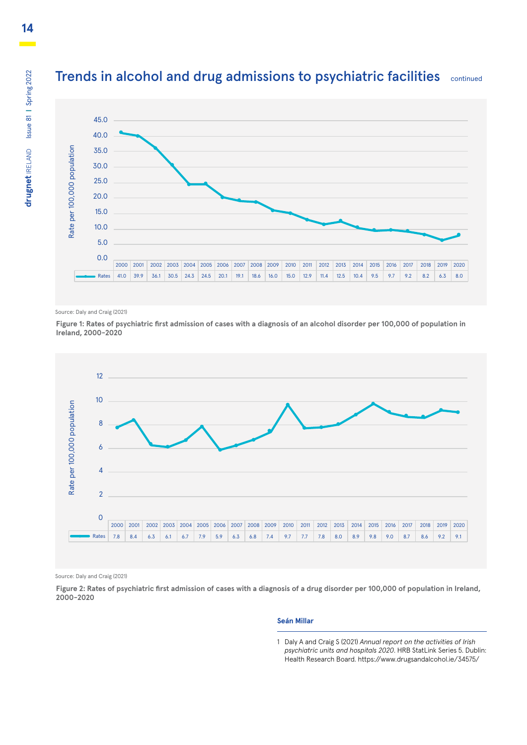### Trends in alcohol and drug admissions to psychiatric facilities continued



Source: Daly and Craig (2021)

**Figure 1: Rates of psychiatric first admission of cases with a diagnosis of an alcohol disorder per 100,000 of population in Ireland, 2000-2020**



Source: Daly and Craig (2021)

**Figure 2: Rates of psychiatric first admission of cases with a diagnosis of a drug disorder per 100,000 of population in Ireland, 2000-2020**

#### **Seán Millar**

<sup>1</sup> Daly A and Craig S (2021) *Annual report on the activities of Irish psychiatric units and hospitals 2020*. HRB StatLink Series 5. Dublin: Health Research Board. https://www.drugsandalcohol.ie/34575/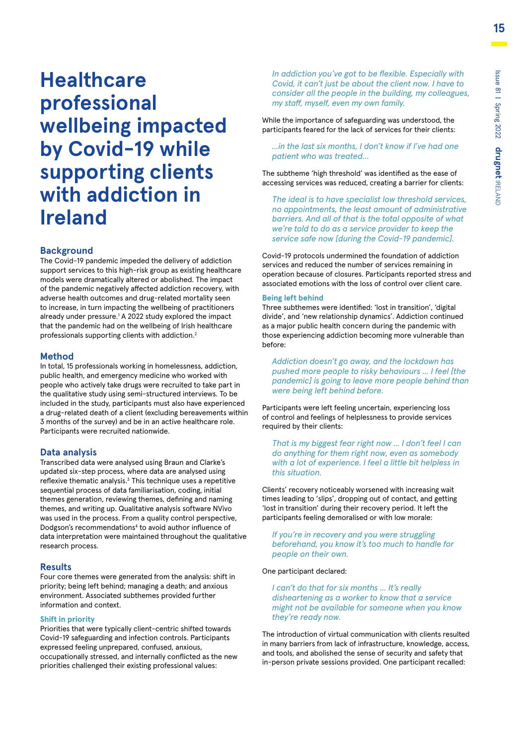**Healthcare professional wellbeing impacted by Covid-19 while supporting clients with addiction in Ireland**

#### **Background**

The Covid-19 pandemic impeded the delivery of addiction support services to this high-risk group as existing healthcare models were dramatically altered or abolished. The impact of the pandemic negatively affected addiction recovery, with adverse health outcomes and drug-related mortality seen to increase, in turn impacting the wellbeing of practitioners already under pressure.<sup>1</sup> A 2022 study explored the impact that the pandemic had on the wellbeing of Irish healthcare professionals supporting clients with addiction.2

#### **Method**

In total, 15 professionals working in homelessness, addiction, public health, and emergency medicine who worked with people who actively take drugs were recruited to take part in the qualitative study using semi-structured interviews. To be included in the study, participants must also have experienced a drug-related death of a client (excluding bereavements within 3 months of the survey) and be in an active healthcare role. Participants were recruited nationwide.

#### **Data analysis**

Transcribed data were analysed using Braun and Clarke's updated six-step process, where data are analysed using reflexive thematic analysis.<sup>3</sup> This technique uses a repetitive sequential process of data familiarisation, coding, initial themes generation, reviewing themes, defining and naming themes, and writing up. Qualitative analysis software NVivo was used in the process. From a quality control perspective, Dodgson's recommendations<sup>4</sup> to avoid author influence of data interpretation were maintained throughout the qualitative research process.

#### **Results**

Four core themes were generated from the analysis: shift in priority; being left behind; managing a death; and anxious environment. Associated subthemes provided further information and context.

#### **Shift in priority**

Priorities that were typically client-centric shifted towards Covid-19 safeguarding and infection controls. Participants expressed feeling unprepared, confused, anxious, occupationally stressed, and internally conflicted as the new priorities challenged their existing professional values:

*In addiction you've got to be flexible. Especially with Covid, it can't just be about the client now. I have to consider all the people in the building, my colleagues, my staff, myself, even my own family.*

While the importance of safeguarding was understood, the participants feared for the lack of services for their clients:

*...in the last six months, I don't know if I've had one patient who was treated…*

The subtheme 'high threshold' was identified as the ease of accessing services was reduced, creating a barrier for clients:

*The ideal is to have specialist low threshold services, no appointments, the least amount of administrative barriers. And all of that is the total opposite of what we're told to do as a service provider to keep the service safe now [during the Covid-19 pandemic].*

Covid-19 protocols undermined the foundation of addiction services and reduced the number of services remaining in operation because of closures. Participants reported stress and associated emotions with the loss of control over client care.

#### **Being left behind**

Three subthemes were identified: 'lost in transition', 'digital divide', and 'new relationship dynamics'. Addiction continued as a major public health concern during the pandemic with those experiencing addiction becoming more vulnerable than before:

*Addiction doesn't go away, and the lockdown has pushed more people to risky behaviours ... I feel [the pandemic] is going to leave more people behind than were being left behind before.*

Participants were left feeling uncertain, experiencing loss of control and feelings of helplessness to provide services required by their clients:

*That is my biggest fear right now ... I don't feel I can do anything for them right now, even as somebody with a lot of experience. I feel a little bit helpless in this situation.*

Clients' recovery noticeably worsened with increasing wait times leading to 'slips', dropping out of contact, and getting 'lost in transition' during their recovery period. It left the participants feeling demoralised or with low morale:

*If you're in recovery and you were struggling beforehand, you know it's too much to handle for people on their own.*

One participant declared:

*I can't do that for six months ... It's really disheartening as a worker to know that a service might not be available for someone when you know they're ready now.*

The introduction of virtual communication with clients resulted in many barriers from lack of infrastructure, knowledge, access, and tools, and abolished the sense of security and safety that in-person private sessions provided. One participant recalled: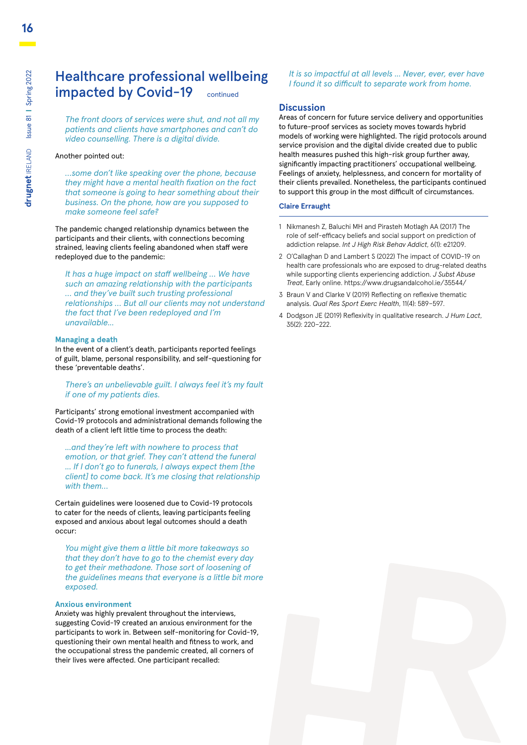### Healthcare professional wellbeing impacted by Covid-19 continued

*The front doors of services were shut, and not all my patients and clients have smartphones and can't do video counselling. There is a digital divide.*

#### Another pointed out:

*…some don't like speaking over the phone, because they might have a mental health fixation on the fact that someone is going to hear something about their business. On the phone, how are you supposed to make someone feel safe?*

The pandemic changed relationship dynamics between the participants and their clients, with connections becoming strained, leaving clients feeling abandoned when staff were redeployed due to the pandemic:

*It has a huge impact on staff wellbeing … We have such an amazing relationship with the participants … and they've built such trusting professional relationships … But all our clients may not understand the fact that I've been redeployed and I'm unavailable...*

#### **Managing a death**

In the event of a client's death, participants reported feelings of guilt, blame, personal responsibility, and self-questioning for these 'preventable deaths'.

*There's an unbelievable guilt. I always feel it's my fault if one of my patients dies.*

Participants' strong emotional investment accompanied with Covid-19 protocols and administrational demands following the death of a client left little time to process the death:

*...and they're left with nowhere to process that emotion, or that grief. They can't attend the funeral ... If I don't go to funerals, I always expect them [the client] to come back. It's me closing that relationship with them…*

Certain guidelines were loosened due to Covid-19 protocols to cater for the needs of clients, leaving participants feeling exposed and anxious about legal outcomes should a death occur:

*You might give them a little bit more takeaways so that they don't have to go to the chemist every day to get their methadone. Those sort of loosening of the guidelines means that everyone is a little bit more exposed.*

#### **Anxious environment**

Anxiety was highly prevalent throughout the interviews, suggesting Covid-19 created an anxious environment for the participants to work in. Between self-monitoring for Covid-19, questioning their own mental health and fitness to work, and the occupational stress the pandemic created, all corners of their lives were affected. One participant recalled:

#### *It is so impactful at all levels ... Never, ever, ever have I found it so difficult to separate work from home.*

#### **Discussion**

Areas of concern for future service delivery and opportunities to future-proof services as society moves towards hybrid models of working were highlighted. The rigid protocols around service provision and the digital divide created due to public health measures pushed this high-risk group further away, significantly impacting practitioners' occupational wellbeing. Feelings of anxiety, helplessness, and concern for mortality of their clients prevailed. Nonetheless, the participants continued to support this group in the most difficult of circumstances.

#### **Claire Erraught**

- 1 Nikmanesh Z, Baluchi MH and Pirasteh Motlagh AA (2017) The role of self-efficacy beliefs and social support on prediction of addiction relapse. *Int J High Risk Behav Addict*, 6(1): e21209.
- 2 O'Callaghan D and Lambert S (2022) The impact of COVID-19 on health care professionals who are exposed to drug-related deaths while supporting clients experiencing addiction. *J Subst Abuse Treat*, Early online. https://www.drugsandalcohol.ie/35544/
- 3 Braun V and Clarke V (2019) Reflecting on reflexive thematic analysis. *Qual Res Sport Exerc Health*, 11(4): 589–597.
- 4 Dodgson JE (2019) Reflexivity in qualitative research. *J Hum Lact*, 35(2): 220–222.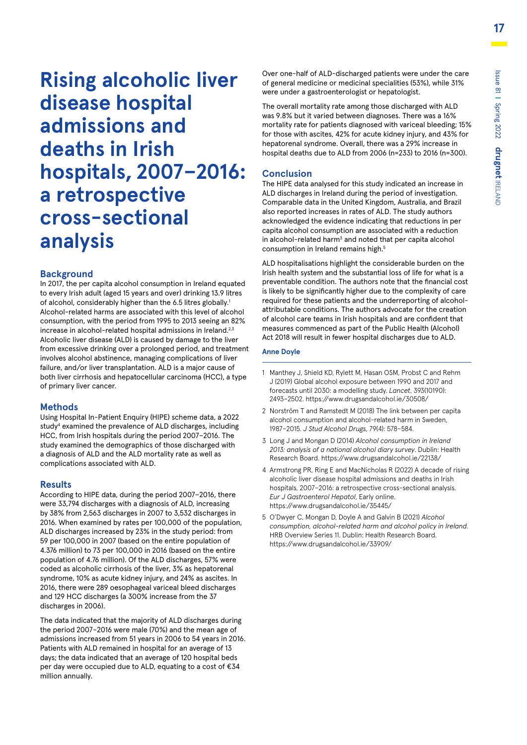**Rising alcoholic liver disease hospital admissions and deaths in Irish hospitals, 2007–2016: a retrospective cross-sectional analysis**

#### **Background**

In 2017, the per capita alcohol consumption in Ireland equated to every Irish adult (aged 15 years and over) drinking 13.9 litres of alcohol, considerably higher than the 6.5 litres globally.<sup>1</sup> Alcohol-related harms are associated with this level of alcohol consumption, with the period from 1995 to 2013 seeing an 82% increase in alcohol-related hospital admissions in Ireland. $2,3$ Alcoholic liver disease (ALD) is caused by damage to the liver from excessive drinking over a prolonged period, and treatment involves alcohol abstinence, managing complications of liver failure, and/or liver transplantation. ALD is a major cause of both liver cirrhosis and hepatocellular carcinoma (HCC), a type of primary liver cancer.

#### **Methods**

Using Hospital In-Patient Enquiry (HIPE) scheme data, a 2022 study<sup>4</sup> examined the prevalence of ALD discharges, including HCC, from Irish hospitals during the period 2007–2016. The study examined the demographics of those discharged with a diagnosis of ALD and the ALD mortality rate as well as complications associated with ALD.

#### **Results**

According to HIPE data, during the period 2007–2016, there were 33,794 discharges with a diagnosis of ALD, increasing by 38% from 2,563 discharges in 2007 to 3,532 discharges in 2016. When examined by rates per 100,000 of the population, ALD discharges increased by 23% in the study period: from 59 per 100,000 in 2007 (based on the entire population of 4.376 million) to 73 per 100,000 in 2016 (based on the entire population of 4.76 million). Of the ALD discharges, 57% were coded as alcoholic cirrhosis of the liver, 3% as hepatorenal syndrome, 10% as acute kidney injury, and 24% as ascites. In 2016, there were 289 oesophageal variceal bleed discharges and 129 HCC discharges (a 300% increase from the 37 discharges in 2006).

The data indicated that the majority of ALD discharges during the period 2007–2016 were male (70%) and the mean age of admissions increased from 51 years in 2006 to 54 years in 2016. Patients with ALD remained in hospital for an average of 13 days; the data indicated that an average of 120 hospital beds per day were occupied due to ALD, equating to a cost of €34 million annually.

Over one-half of ALD-discharged patients were under the care of general medicine or medicinal specialities (53%), while 31% were under a gastroenterologist or hepatologist.

The overall mortality rate among those discharged with ALD was 9.8% but it varied between diagnoses. There was a 16% mortality rate for patients diagnosed with variceal bleeding; 15% for those with ascites, 42% for acute kidney injury, and 43% for hepatorenal syndrome. Overall, there was a 29% increase in hospital deaths due to ALD from 2006 (n=233) to 2016 (n=300).

#### **Conclusion**

The HIPE data analysed for this study indicated an increase in ALD discharges in Ireland during the period of investigation. Comparable data in the United Kingdom, Australia, and Brazil also reported increases in rates of ALD. The study authors acknowledged the evidence indicating that reductions in per capita alcohol consumption are associated with a reduction in alcohol-related harm<sup>3</sup> and noted that per capita alcohol consumption in Ireland remains high.<sup>5</sup>

ALD hospitalisations highlight the considerable burden on the Irish health system and the substantial loss of life for what is a preventable condition. The authors note that the financial cost is likely to be significantly higher due to the complexity of care required for these patients and the underreporting of alcoholattributable conditions. The authors advocate for the creation of alcohol care teams in Irish hospitals and are confident that measures commenced as part of the Public Health (Alcohol) Act 2018 will result in fewer hospital discharges due to ALD.

#### **Anne Doyle**

- 1 Manthey J, Shield KD, Rylett M, Hasan OSM, Probst C and Rehm J (2019) Global alcohol exposure between 1990 and 2017 and forecasts until 2030: a modelling study. *Lancet*, 393(10190): 2493–2502. https://www.drugsandalcohol.ie/30508/
- 2 Norström T and Ramstedt M (2018) The link between per capita alcohol consumption and alcohol-related harm in Sweden, 1987–2015. *J Stud Alcohol Drugs*, 79(4): 578–584.
- 3 Long J and Mongan D (2014) *Alcohol consumption in Ireland 2013: analysis of a national alcohol diary survey*. Dublin: Health Research Board. https://www.drugsandalcohol.ie/22138/
- 4 Armstrong PR, Ring E and MacNicholas R (2022) A decade of rising alcoholic liver disease hospital admissions and deaths in Irish hospitals, 2007–2016: a retrospective cross-sectional analysis. *Eur J Gastroenterol Hepatol*, Early online. https://www.drugsandalcohol.ie/35445/
- 5 O'Dwyer C, Mongan D, Doyle A and Galvin B (2021) *Alcohol consumption, alcohol-related harm and alcohol policy in Ireland*. HRB Overview Series 11. Dublin: Health Research Board. https://www.drugsandalcohol.ie/33909/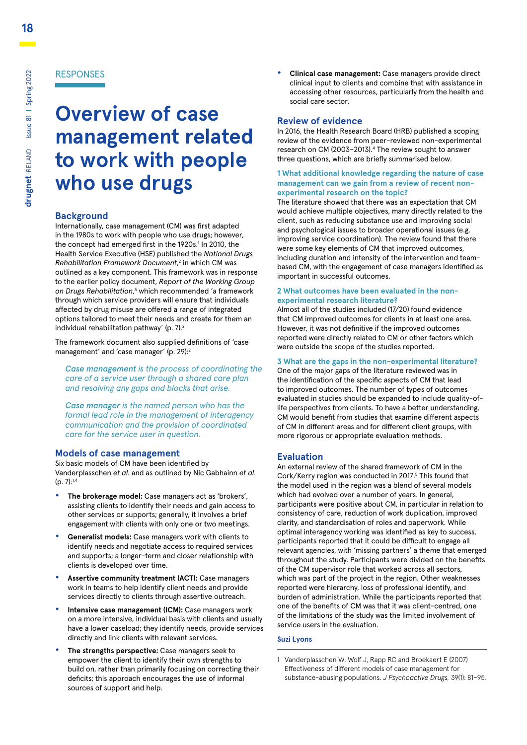# **Overview of case management related to work with people who use drugs**

#### **Background**

Internationally, case management (CM) was first adapted in the 1980s to work with people who use drugs; however, the concept had emerged first in the 1920s.<sup>1</sup> In 2010, the Health Service Executive (HSE) published the *National Drugs Rehabilitation Framework Document*, 2 in which CM was outlined as a key component. This framework was in response to the earlier policy document, *Report of the Working Group*  on Drugs Rehabilitation,<sup>3</sup> which recommended 'a framework through which service providers will ensure that individuals affected by drug misuse are offered a range of integrated options tailored to meet their needs and create for them an individual rehabilitation pathway' (p. 7).<sup>2</sup>

The framework document also supplied definitions of 'case management' and 'case manager' (p. 29):2

*Case management is the process of coordinating the care of a service user through a shared care plan and resolving any gaps and blocks that arise.*

*Case manager is the named person who has the formal lead role in the management of interagency communication and the provision of coordinated care for the service user in question.*

#### **Models of case management**

Six basic models of CM have been identified by Vanderplasschen *et al*. and as outlined by Nic Gabhainn *et al*.  $(p, 7):^{1,4}$ 

- **• The brokerage model:** Case managers act as 'brokers', assisting clients to identify their needs and gain access to other services or supports; generally, it involves a brief engagement with clients with only one or two meetings.
- **• Generalist models:** Case managers work with clients to identify needs and negotiate access to required services and supports; a longer-term and closer relationship with clients is developed over time.
- **• Assertive community treatment (ACT):** Case managers work in teams to help identify client needs and provide services directly to clients through assertive outreach.
- **• Intensive case management (ICM):** Case managers work on a more intensive, individual basis with clients and usually have a lower caseload; they identify needs, provide services directly and link clients with relevant services.
- **• The strengths perspective:** Case managers seek to empower the client to identify their own strengths to build on, rather than primarily focusing on correcting their deficits; this approach encourages the use of informal sources of support and help.

**• Clinical case management:** Case managers provide direct clinical input to clients and combine that with assistance in accessing other resources, particularly from the health and social care sector.

#### **Review of evidence**

In 2016, the Health Research Board (HRB) published a scoping review of the evidence from peer-reviewed non-experimental research on CM (2003-2013).<sup>4</sup> The review sought to answer three questions, which are briefly summarised below.

#### **1 What additional knowledge regarding the nature of case management can we gain from a review of recent nonexperimental research on the topic?**

The literature showed that there was an expectation that CM would achieve multiple objectives, many directly related to the client, such as reducing substance use and improving social and psychological issues to broader operational issues (e.g. improving service coordination). The review found that there were some key elements of CM that improved outcomes, including duration and intensity of the intervention and teambased CM, with the engagement of case managers identified as important in successful outcomes.

#### **2 What outcomes have been evaluated in the nonexperimental research literature?**

Almost all of the studies included (17/20) found evidence that CM improved outcomes for clients in at least one area. However, it was not definitive if the improved outcomes reported were directly related to CM or other factors which were outside the scope of the studies reported.

#### **3 What are the gaps in the non-experimental literature?**

One of the major gaps of the literature reviewed was in the identification of the specific aspects of CM that lead to improved outcomes. The number of types of outcomes evaluated in studies should be expanded to include quality-oflife perspectives from clients. To have a better understanding, CM would benefit from studies that examine different aspects of CM in different areas and for different client groups, with more rigorous or appropriate evaluation methods.

#### **Evaluation**

An external review of the shared framework of CM in the Cork/Kerry region was conducted in 2017.<sup>5</sup> This found that the model used in the region was a blend of several models which had evolved over a number of years. In general, participants were positive about CM, in particular in relation to consistency of care, reduction of work duplication, improved clarity, and standardisation of roles and paperwork. While optimal interagency working was identified as key to success, participants reported that it could be difficult to engage all relevant agencies, with 'missing partners' a theme that emerged throughout the study. Participants were divided on the benefits of the CM supervisor role that worked across all sectors, which was part of the project in the region. Other weaknesses reported were hierarchy, loss of professional identify, and burden of administration. While the participants reported that one of the benefits of CM was that it was client-centred, one of the limitations of the study was the limited involvement of service users in the evaluation.

#### **Suzi Lyons**

1 Vanderplasschen W, Wolf J, Rapp RC and Broekaert E (2007) Effectiveness of different models of case management for substance-abusing populations. *J Psychoactive Drugs,* 39(1): 81–95.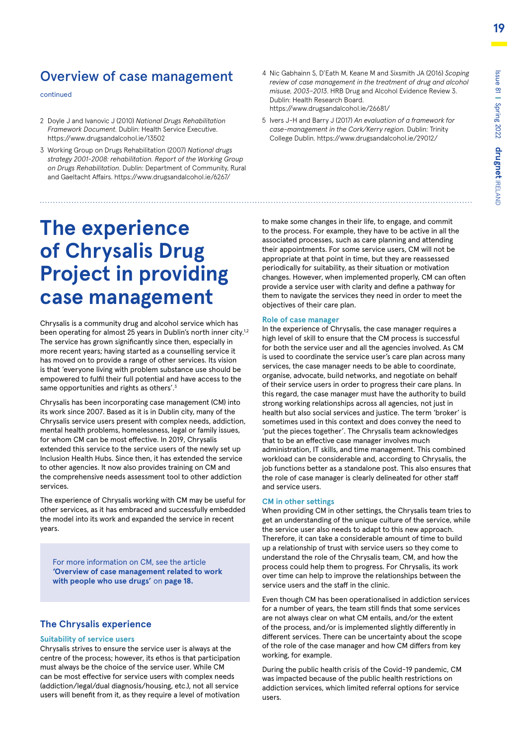### Overview of case management

continued

- 2 Doyle J and Ivanovic J (2010) *National Drugs Rehabilitation Framework Document.* Dublin: Health Service Executive. https://www.drugsandalcohol.ie/13502
- 3 Working Group on Drugs Rehabilitation (2007) *National drugs strategy 2001-2008: rehabilitation. Report of the Working Group on Drugs Rehabilitation*. Dublin: Department of Community, Rural and Gaeltacht Affairs. https://www.drugsandalcohol.ie/6267/

# **The experience of Chrysalis Drug Project in providing case management**

Chrysalis is a community drug and alcohol service which has been operating for almost 25 years in Dublin's north inner city.<sup>1,2</sup> The service has grown significantly since then, especially in more recent years; having started as a counselling service it has moved on to provide a range of other services. Its vision is that 'everyone living with problem substance use should be empowered to fulfil their full potential and have access to the same opportunities and rights as others'.<sup>3</sup>

Chrysalis has been incorporating case management (CM) into its work since 2007. Based as it is in Dublin city, many of the Chrysalis service users present with complex needs, addiction, mental health problems, homelessness, legal or family issues, for whom CM can be most effective. In 2019, Chrysalis extended this service to the service users of the newly set up Inclusion Health Hubs. Since then, it has extended the service to other agencies. It now also provides training on CM and the comprehensive needs assessment tool to other addiction services.

The experience of Chrysalis working with CM may be useful for other services, as it has embraced and successfully embedded the model into its work and expanded the service in recent years.

For more information on CM, see the article **'Overview of case management related to work with people who use drugs'** on **page 18.**

#### **The Chrysalis experience**

#### **Suitability of service users**

Chrysalis strives to ensure the service user is always at the centre of the process; however, its ethos is that participation must always be the choice of the service user. While CM can be most effective for service users with complex needs (addiction/legal/dual diagnosis/housing, etc.), not all service users will benefit from it, as they require a level of motivation

- 4 Nic Gabhainn S, D'Eath M, Keane M and Sixsmith JA (2016) *Scoping review of case management in the treatment of drug and alcohol misuse, 2003–2013*. HRB Drug and Alcohol Evidence Review 3. Dublin: Health Research Board. https://www.drugsandalcohol.ie/26681/
- 5 Ivers J-H and Barry J (2017) *An evaluation of a framework for case-management in the Cork/Kerry region.* Dublin: Trinity College Dublin. https://www.drugsandalcohol.ie/29012/

to make some changes in their life, to engage, and commit to the process. For example, they have to be active in all the associated processes, such as care planning and attending their appointments. For some service users, CM will not be appropriate at that point in time, but they are reassessed periodically for suitability, as their situation or motivation changes. However, when implemented properly, CM can often provide a service user with clarity and define a pathway for them to navigate the services they need in order to meet the objectives of their care plan.

#### **Role of case manager**

In the experience of Chrysalis, the case manager requires a high level of skill to ensure that the CM process is successful for both the service user and all the agencies involved. As CM is used to coordinate the service user's care plan across many services, the case manager needs to be able to coordinate, organise, advocate, build networks, and negotiate on behalf of their service users in order to progress their care plans. In this regard, the case manager must have the authority to build strong working relationships across all agencies, not just in health but also social services and justice. The term 'broker' is sometimes used in this context and does convey the need to 'put the pieces together'. The Chrysalis team acknowledges that to be an effective case manager involves much administration, IT skills, and time management. This combined workload can be considerable and, according to Chrysalis, the job functions better as a standalone post. This also ensures that the role of case manager is clearly delineated for other staff and service users.

#### **CM in other settings**

When providing CM in other settings, the Chrysalis team tries to get an understanding of the unique culture of the service, while the service user also needs to adapt to this new approach. Therefore, it can take a considerable amount of time to build up a relationship of trust with service users so they come to understand the role of the Chrysalis team, CM, and how the process could help them to progress. For Chrysalis, its work over time can help to improve the relationships between the service users and the staff in the clinic.

Even though CM has been operationalised in addiction services for a number of years, the team still finds that some services are not always clear on what CM entails, and/or the extent of the process, and/or is implemented slightly differently in different services. There can be uncertainty about the scope of the role of the case manager and how CM differs from key working, for example.

During the public health crisis of the Covid-19 pandemic, CM was impacted because of the public health restrictions on addiction services, which limited referral options for service users.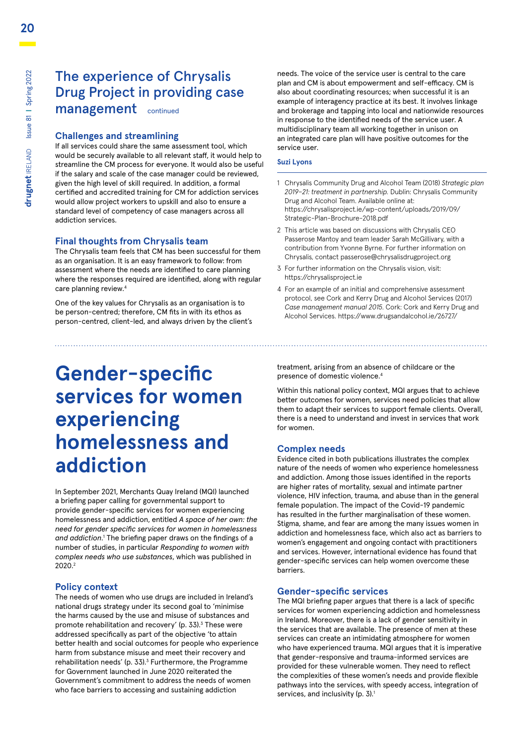### The experience of Chrysalis Drug Project in providing case management continued

#### **Challenges and streamlining**

If all services could share the same assessment tool, which would be securely available to all relevant staff, it would help to streamline the CM process for everyone. It would also be useful if the salary and scale of the case manager could be reviewed, given the high level of skill required. In addition, a formal certified and accredited training for CM for addiction services would allow project workers to upskill and also to ensure a standard level of competency of case managers across all addiction services.

#### **Final thoughts from Chrysalis team**

The Chrysalis team feels that CM has been successful for them as an organisation. It is an easy framework to follow: from assessment where the needs are identified to care planning where the responses required are identified, along with regular care planning review.<sup>4</sup>

One of the key values for Chrysalis as an organisation is to be person-centred; therefore, CM fits in with its ethos as person-centred, client-led, and always driven by the client's

# **Gender-specific services for women experiencing homelessness and addiction**

In September 2021, Merchants Quay Ireland (MQI) launched a briefing paper calling for governmental support to provide gender-specific services for women experiencing homelessness and addiction, entitled *A space of her own: the need for gender specific services for women in homelessness*  and addiction.<sup>1</sup> The briefing paper draws on the findings of a number of studies, in particular *Responding to women with complex needs who use substances*, which was published in 2020.2

#### **Policy context**

The needs of women who use drugs are included in Ireland's national drugs strategy under its second goal to 'minimise the harms caused by the use and misuse of substances and promote rehabilitation and recovery' (p. 33).<sup>3</sup> These were addressed specifically as part of the objective 'to attain better health and social outcomes for people who experience harm from substance misuse and meet their recovery and rehabilitation needs' (p. 33).<sup>3</sup> Furthermore, the Programme for Government launched in June 2020 reiterated the Government's commitment to address the needs of women who face barriers to accessing and sustaining addiction

needs. The voice of the service user is central to the care plan and CM is about empowerment and self-efficacy. CM is also about coordinating resources; when successful it is an example of interagency practice at its best. It involves linkage and brokerage and tapping into local and nationwide resources in response to the identified needs of the service user. A multidisciplinary team all working together in unison on an integrated care plan will have positive outcomes for the service user.

#### **Suzi Lyons**

- 1 Chrysalis Community Drug and Alcohol Team (2018) *Strategic plan 2019–21: treatment in partnership.* Dublin: Chrysalis Community Drug and Alcohol Team. Available online at: [https://chrysalisproject.ie/wp-content/uploads/2019/09/](https://chrysalisproject.ie/wp-content/uploads/2019/09/Strategic-Plan-Brochure-2018.pdf) [Strategic-Plan-Brochure-2018.pdf](https://chrysalisproject.ie/wp-content/uploads/2019/09/Strategic-Plan-Brochure-2018.pdf)
- 2 This article was based on discussions with Chrysalis CEO Passerose Mantoy and team leader Sarah McGillivary, with a contribution from Yvonne Byrne. For further information on Chrysalis, contact passerose@chrysalisdrugproject.org
- 3 For further information on the Chrysalis vision, visit: https://chrysalisproject.ie
- 4 For an example of an initial and comprehensive assessment protocol, see Cork and Kerry Drug and Alcohol Services (2017) *Case management manual 2015*. Cork: Cork and Kerry Drug and Alcohol Services. https://www.drugsandalcohol.ie/26727/

treatment, arising from an absence of childcare or the presence of domestic violence.4

Within this national policy context, MQI argues that to achieve better outcomes for women, services need policies that allow them to adapt their services to support female clients. Overall, there is a need to understand and invest in services that work for women.

#### **Complex needs**

Evidence cited in both publications illustrates the complex nature of the needs of women who experience homelessness and addiction. Among those issues identified in the reports are higher rates of mortality, sexual and intimate partner violence, HIV infection, trauma, and abuse than in the general female population. The impact of the Covid-19 pandemic has resulted in the further marginalisation of these women. Stigma, shame, and fear are among the many issues women in addiction and homelessness face, which also act as barriers to women's engagement and ongoing contact with practitioners and services. However, international evidence has found that gender-specific services can help women overcome these barriers.

#### **Gender-specific services**

The MQI briefing paper argues that there is a lack of specific services for women experiencing addiction and homelessness in Ireland. Moreover, there is a lack of gender sensitivity in the services that are available. The presence of men at these services can create an intimidating atmosphere for women who have experienced trauma. MQI argues that it is imperative that gender-responsive and trauma-informed services are provided for these vulnerable women. They need to reflect the complexities of these women's needs and provide flexible pathways into the services, with speedy access, integration of services, and inclusivity (p. 3).<sup>1</sup>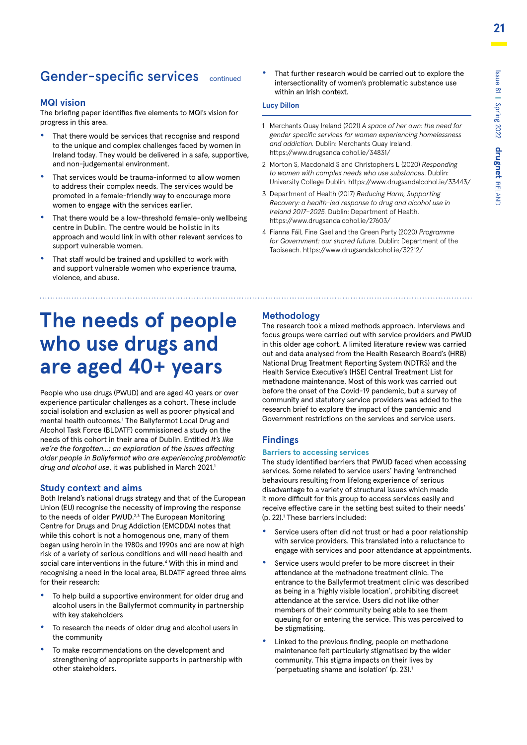# Gender-specific services continued

#### **MQI vision**

The briefing paper identifies five elements to MQI's vision for progress in this area.

- **•** That there would be services that recognise and respond to the unique and complex challenges faced by women in Ireland today. They would be delivered in a safe, supportive, and non-judgemental environment.
- **•** That services would be trauma-informed to allow women to address their complex needs. The services would be promoted in a female-friendly way to encourage more women to engage with the services earlier.
- **•** That there would be a low-threshold female-only wellbeing centre in Dublin. The centre would be holistic in its approach and would link in with other relevant services to support vulnerable women.
- **•** That staff would be trained and upskilled to work with and support vulnerable women who experience trauma, violence, and abuse.

**•** That further research would be carried out to explore the intersectionality of women's problematic substance use within an Irish context.

#### **Lucy Dillon**

- 1 Merchants Quay Ireland (2021) *A space of her own: the need for gender specific services for women experiencing homelessness and addiction.* Dublin: Merchants Quay Ireland. https://www.drugsandalcohol.ie/34831/
- 2 Morton S, Macdonald S and Christophers L (2020) *Responding to women with complex needs who use substances*. Dublin: University College Dublin. https://www.drugsandalcohol.ie/33443/
- 3 Department of Health (2017) *Reducing Harm, Supporting Recovery: a health-led response to drug and alcohol use in Ireland 2017–2025.* Dublin: Department of Health. https://www.drugsandalcohol.ie/27603/
- 4 Fianna Fáil, Fine Gael and the Green Party (2020) *Programme for Government: our shared future*. Dublin: Department of the Taoiseach. https://www.drugsandalcohol.ie/32212/

# **The needs of people who use drugs and are aged 40+ years**

People who use drugs (PWUD) and are aged 40 years or over experience particular challenges as a cohort. These include social isolation and exclusion as well as poorer physical and mental health outcomes.<sup>1</sup> The Ballyfermot Local Drug and Alcohol Task Force (BLDATF) commissioned a study on the needs of this cohort in their area of Dublin. Entitled *It's like we're the forgotten...: an exploration of the issues affecting older people in Ballyfermot who are experiencing problematic*  drug and alcohol use, it was published in March 2021.<sup>1</sup>

#### **Study context and aims**

Both Ireland's national drugs strategy and that of the European Union (EU) recognise the necessity of improving the response to the needs of older PWUD.<sup>2,3</sup> The European Monitoring Centre for Drugs and Drug Addiction (EMCDDA) notes that while this cohort is not a homogenous one, many of them began using heroin in the 1980s and 1990s and are now at high risk of a variety of serious conditions and will need health and social care interventions in the future.<sup>4</sup> With this in mind and recognising a need in the local area, BLDATF agreed three aims for their research:

- **•** To help build a supportive environment for older drug and alcohol users in the Ballyfermot community in partnership with key stakeholders
- **•** To research the needs of older drug and alcohol users in the community
- **•** To make recommendations on the development and strengthening of appropriate supports in partnership with other stakeholders.

#### **Methodology**

The research took a mixed methods approach. Interviews and focus groups were carried out with service providers and PWUD in this older age cohort. A limited literature review was carried out and data analysed from the Health Research Board's (HRB) National Drug Treatment Reporting System (NDTRS) and the Health Service Executive's (HSE) Central Treatment List for methadone maintenance. Most of this work was carried out before the onset of the Covid-19 pandemic, but a survey of community and statutory service providers was added to the research brief to explore the impact of the pandemic and Government restrictions on the services and service users.

#### **Findings**

#### **Barriers to accessing services**

The study identified barriers that PWUD faced when accessing services. Some related to service users' having 'entrenched behaviours resulting from lifelong experience of serious disadvantage to a variety of structural issues which made it more difficult for this group to access services easily and receive effective care in the setting best suited to their needs' (p. 22).1 These barriers included:

- **•** Service users often did not trust or had a poor relationship with service providers. This translated into a reluctance to engage with services and poor attendance at appointments.
- **•** Service users would prefer to be more discreet in their attendance at the methadone treatment clinic. The entrance to the Ballyfermot treatment clinic was described as being in a 'highly visible location', prohibiting discreet attendance at the service. Users did not like other members of their community being able to see them queuing for or entering the service. This was perceived to be stigmatising.
- **•** Linked to the previous finding, people on methadone maintenance felt particularly stigmatised by the wider community. This stigma impacts on their lives by 'perpetuating shame and isolation' (p. 23).1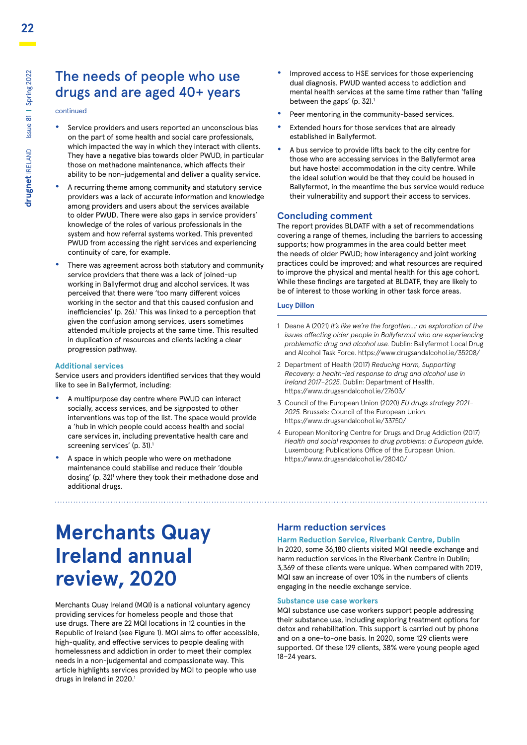### The needs of people who use drugs and are aged 40+ years

continued

- **•** Service providers and users reported an unconscious bias on the part of some health and social care professionals, which impacted the way in which they interact with clients. They have a negative bias towards older PWUD, in particular those on methadone maintenance, which affects their ability to be non-judgemental and deliver a quality service.
- **•** A recurring theme among community and statutory service providers was a lack of accurate information and knowledge among providers and users about the services available to older PWUD. There were also gaps in service providers' knowledge of the roles of various professionals in the system and how referral systems worked. This prevented PWUD from accessing the right services and experiencing continuity of care, for example.
- **•** There was agreement across both statutory and community service providers that there was a lack of joined-up working in Ballyfermot drug and alcohol services. It was perceived that there were 'too many different voices working in the sector and that this caused confusion and inefficiencies' (p. 26).<sup>1</sup> This was linked to a perception that given the confusion among services, users sometimes attended multiple projects at the same time. This resulted in duplication of resources and clients lacking a clear progression pathway.

#### **Additional services**

Service users and providers identified services that they would like to see in Ballyfermot, including:

- **•** A multipurpose day centre where PWUD can interact socially, access services, and be signposted to other interventions was top of the list. The space would provide a 'hub in which people could access health and social care services in, including preventative health care and screening services' (p. 31).<sup>1</sup>
- **•** A space in which people who were on methadone maintenance could stabilise and reduce their 'double dosing' (p. 32)<sup>1</sup> where they took their methadone dose and additional drugs.
- **•** Improved access to HSE services for those experiencing dual diagnosis. PWUD wanted access to addiction and mental health services at the same time rather than 'falling between the gaps' (p. 32).<sup>1</sup>
- **•** Peer mentoring in the community-based services.
- **•** Extended hours for those services that are already established in Ballyfermot.
- **•** A bus service to provide lifts back to the city centre for those who are accessing services in the Ballyfermot area but have hostel accommodation in the city centre. While the ideal solution would be that they could be housed in Ballyfermot, in the meantime the bus service would reduce their vulnerability and support their access to services.

#### **Concluding comment**

The report provides BLDATF with a set of recommendations covering a range of themes, including the barriers to accessing supports; how programmes in the area could better meet the needs of older PWUD; how interagency and joint working practices could be improved; and what resources are required to improve the physical and mental health for this age cohort. While these findings are targeted at BLDATF, they are likely to be of interest to those working in other task force areas.

#### **Lucy Dillon**

- 1 Deane A (2021) *It's like we're the forgotten...: an exploration of the issues affecting older people in Ballyfermot who are experiencing problematic drug and alcohol use.* Dublin: Ballyfermot Local Drug and Alcohol Task Force. https://www.drugsandalcohol.ie/35208/
- 2 Department of Health (2017) *Reducing Harm, Supporting Recovery: a health-led response to drug and alcohol use in Ireland 2017–2025.* Dublin: Department of Health. https://www.drugsandalcohol.ie/27603/
- 3 Council of the European Union (2020) *EU drugs strategy 2021– 2025.* Brussels: Council of the European Union. https://www.drugsandalcohol.ie/33750/
- 4 European Monitoring Centre for Drugs and Drug Addiction (2017) *Health and social responses to drug problems: a European guide.*  Luxembourg: Publications Office of the European Union. https://www.drugsandalcohol.ie/28040/

# **Merchants Quay Ireland annual review, 2020**

Merchants Quay Ireland (MQI) is a national voluntary agency providing services for homeless people and those that use drugs. There are 22 MQI locations in 12 counties in the Republic of Ireland (see Figure 1). MQI aims to offer accessible, high-quality, and effective services to people dealing with homelessness and addiction in order to meet their complex needs in a non-judgemental and compassionate way. This article highlights services provided by MQI to people who use drugs in Ireland in 2020.<sup>1</sup>

#### **Harm reduction services**

#### **Harm Reduction Service, Riverbank Centre, Dublin** In 2020, some 36,180 clients visited MQI needle exchange and harm reduction services in the Riverbank Centre in Dublin;

3,369 of these clients were unique. When compared with 2019, MQI saw an increase of over 10% in the numbers of clients engaging in the needle exchange service.

#### **Substance use case workers**

MQI substance use case workers support people addressing their substance use, including exploring treatment options for detox and rehabilitation. This support is carried out by phone and on a one-to-one basis. In 2020, some 129 clients were supported. Of these 129 clients, 38% were young people aged 18–24 years.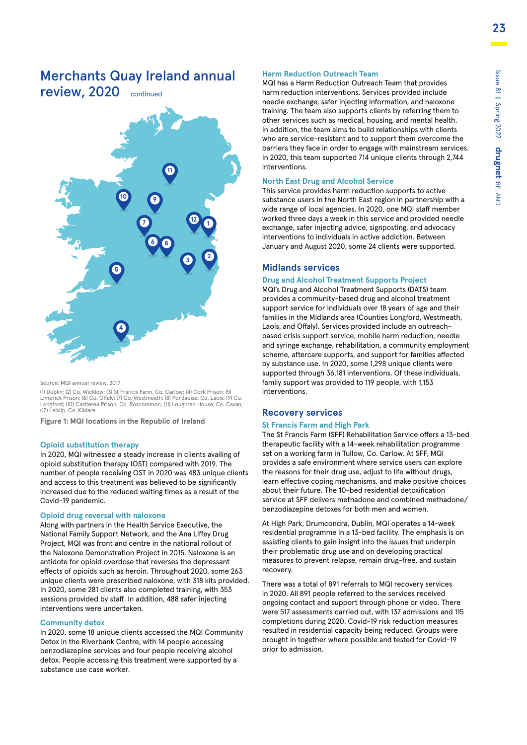# Merchants Quay Ireland annual

review, 2020 continued



Source: MQI annual review, 2017

(1) Dublin; (2) Co. Wicklow; (3) St Francis Farm, Co. Carlow; (4) Cork Prison; (5) Limerick Prison; (6) Co. Offaly; (7) Co. Westmeath; (8) Portlaoise, Co. Laois; (9) Co. Longford; (10) Castlerea Prison, Co. Roscommon; (11) Loughran House, Co. Cavan; (12) Leixlip, Co. Kildare.

**Figure 1: MQI locations in the Republic of Ireland**

#### **Opioid substitution therapy**

In 2020, MQI witnessed a steady increase in clients availing of opioid substitution therapy (OST) compared with 2019. The number of people receiving OST in 2020 was 483 unique clients and access to this treatment was believed to be significantly increased due to the reduced waiting times as a result of the Covid-19 pandemic.

#### **Opioid drug reversal with naloxone**

Along with partners in the Health Service Executive, the National Family Support Network, and the Ana Liffey Drug Project, MQI was front and centre in the national rollout of the Naloxone Demonstration Project in 2015. Naloxone is an antidote for opioid overdose that reverses the depressant effects of opioids such as heroin. Throughout 2020, some 263 unique clients were prescribed naloxone, with 318 kits provided. In 2020, some 281 clients also completed training, with 353 sessions provided by staff. In addition, 488 safer injecting interventions were undertaken.

#### **Community detox**

In 2020, some 18 unique clients accessed the MQI Community Detox in the Riverbank Centre, with 14 people accessing benzodiazepine services and four people receiving alcohol detox. People accessing this treatment were supported by a substance use case worker.

#### **Harm Reduction Outreach Team**

MQI has a Harm Reduction Outreach Team that provides harm reduction interventions. Services provided include needle exchange, safer injecting information, and naloxone training. The team also supports clients by referring them to other services such as medical, housing, and mental health. In addition, the team aims to build relationships with clients who are service-resistant and to support them overcome the barriers they face in order to engage with mainstream services. In 2020, this team supported 714 unique clients through 2,744 interventions.

#### **North East Drug and Alcohol Service**

This service provides harm reduction supports to active substance users in the North East region in partnership with a wide range of local agencies. In 2020, one MQI staff member worked three days a week in this service and provided needle exchange, safer injecting advice, signposting, and advocacy interventions to individuals in active addiction. Between January and August 2020, some 24 clients were supported.

#### **Midlands services**

#### **Drug and Alcohol Treatment Supports Project**

MQI's Drug and Alcohol Treatment Supports (DATS) team provides a community-based drug and alcohol treatment support service for individuals over 18 years of age and their families in the Midlands area (Counties Longford, Westmeath, Laois, and Offaly). Services provided include an outreachbased crisis support service, mobile harm reduction, needle and syringe exchange, rehabilitation, a community employment scheme, aftercare supports, and support for families affected by substance use. In 2020, some 1,298 unique clients were supported through 36,181 interventions. Of these individuals, family support was provided to 119 people, with 1,153 interventions.

#### **Recovery services**

#### **St Francis Farm and High Park**

The St Francis Farm (SFF) Rehabilitation Service offers a 13-bed therapeutic facility with a 14-week rehabilitation programme set on a working farm in Tullow, Co. Carlow. At SFF, MQI provides a safe environment where service users can explore the reasons for their drug use, adjust to life without drugs, learn effective coping mechanisms, and make positive choices about their future. The 10-bed residential detoxification service at SFF delivers methadone and combined methadone/ benzodiazepine detoxes for both men and women.

At High Park, Drumcondra, Dublin, MQI operates a 14-week residential programme in a 13-bed facility. The emphasis is on assisting clients to gain insight into the issues that underpin their problematic drug use and on developing practical measures to prevent relapse, remain drug-free, and sustain recovery.

There was a total of 891 referrals to MQI recovery services in 2020. All 891 people referred to the services received ongoing contact and support through phone or video. There were 517 assessments carried out, with 137 admissions and 115 completions during 2020. Covid-19 risk reduction measures resulted in residential capacity being reduced. Groups were brought in together where possible and tested for Covid-19 prior to admission.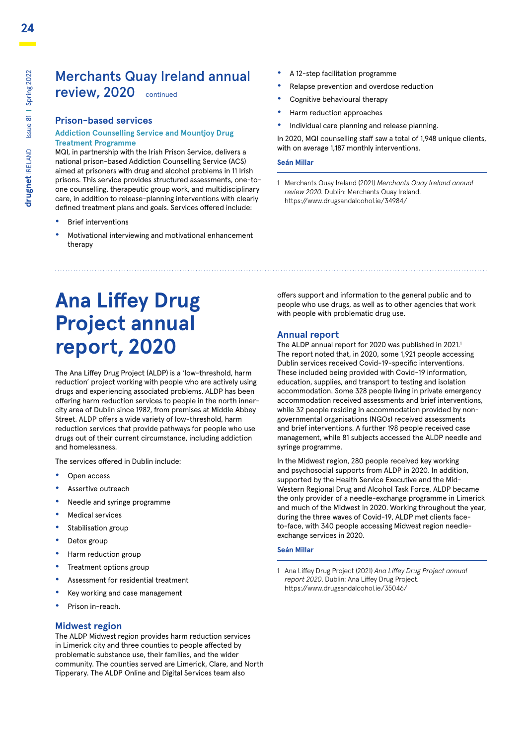**drugnet** IRELAND Issue 81 **|** Spring 2022

**drugnet** IRELAND Issue 81 | Spring 2022

### Merchants Quay Ireland annual review, 2020 continued

#### **Prison-based services**

#### **Addiction Counselling Service and Mountjoy Drug Treatment Programme**

MQI, in partnership with the Irish Prison Service, delivers a national prison-based Addiction Counselling Service (ACS) aimed at prisoners with drug and alcohol problems in 11 Irish prisons. This service provides structured assessments, one-toone counselling, therapeutic group work, and multidisciplinary care, in addition to release-planning interventions with clearly defined treatment plans and goals. Services offered include:

- **•** Brief interventions
- **•** Motivational interviewing and motivational enhancement therapy
- **•** A 12-step facilitation programme
- **•** Relapse prevention and overdose reduction
- **•** Cognitive behavioural therapy
- **•** Harm reduction approaches
- **•** Individual care planning and release planning.

In 2020, MQI counselling staff saw a total of 1,948 unique clients, with on average 1,187 monthly interventions.

#### **Seán Millar**

1 Merchants Quay Ireland (2021) *Merchants Quay Ireland annual review 2020.* Dublin: Merchants Quay Ireland. https://www.drugsandalcohol.ie/34984/

# **Ana Liffey Drug Project annual report, 2020**

The Ana Liffey Drug Project (ALDP) is a 'low-threshold, harm reduction' project working with people who are actively using drugs and experiencing associated problems. ALDP has been offering harm reduction services to people in the north innercity area of Dublin since 1982, from premises at Middle Abbey Street. ALDP offers a wide variety of low-threshold, harm reduction services that provide pathways for people who use drugs out of their current circumstance, including addiction and homelessness.

The services offered in Dublin include:

- **•** Open access
- **•** Assertive outreach
- **•** Needle and syringe programme
- **•** Medical services
- **•** Stabilisation group
- **•** Detox group
- **•** Harm reduction group
- **•** Treatment options group
- **•** Assessment for residential treatment
- **•** Key working and case management
- **•** Prison in-reach.

#### **Midwest region**

The ALDP Midwest region provides harm reduction services in Limerick city and three counties to people affected by problematic substance use, their families, and the wider community. The counties served are Limerick, Clare, and North Tipperary. The ALDP Online and Digital Services team also

offers support and information to the general public and to people who use drugs, as well as to other agencies that work with people with problematic drug use.

#### **Annual report**

The ALDP annual report for 2020 was published in 2021.<sup>1</sup> The report noted that, in 2020, some 1,921 people accessing Dublin services received Covid-19-specific interventions. These included being provided with Covid-19 information, education, supplies, and transport to testing and isolation accommodation. Some 328 people living in private emergency accommodation received assessments and brief interventions, while 32 people residing in accommodation provided by nongovernmental organisations (NGOs) received assessments and brief interventions. A further 198 people received case management, while 81 subjects accessed the ALDP needle and syringe programme.

In the Midwest region, 280 people received key working and psychosocial supports from ALDP in 2020. In addition, supported by the Health Service Executive and the Mid-Western Regional Drug and Alcohol Task Force, ALDP became the only provider of a needle-exchange programme in Limerick and much of the Midwest in 2020. Working throughout the year, during the three waves of Covid-19, ALDP met clients faceto-face, with 340 people accessing Midwest region needleexchange services in 2020.

#### **Seán Millar**

1 Ana Liffey Drug Project (2021) *Ana Liffey Drug Project annual report 2020*. Dublin: Ana Liffey Drug Project. https://www.drugsandalcohol.ie/35046/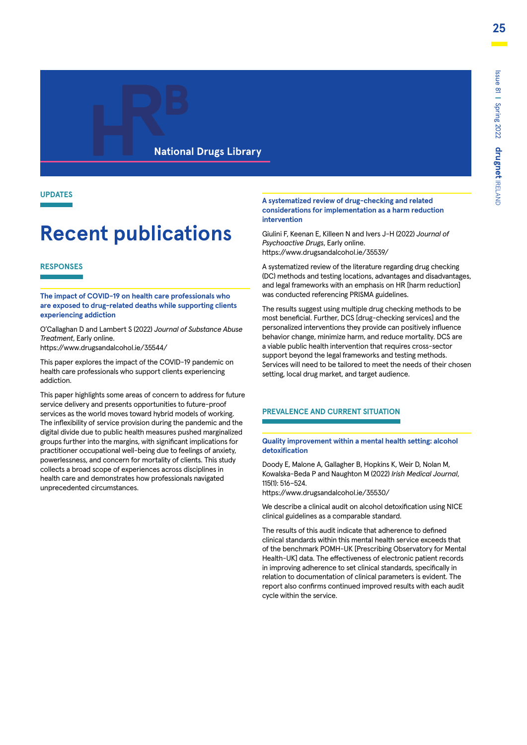#### **National Drugs Library**

#### **UPDATES**

# **Recent publications**

#### **RESPONSES**

**The impact of COVID-19 on health care professionals who are exposed to drug-related deaths while supporting clients experiencing addiction**

O'Callaghan D and Lambert S (2022) *Journal of Substance Abuse Treatment*, Early online.

https://www.drugsandalcohol.ie/35544/

This paper explores the impact of the COVID-19 pandemic on health care professionals who support clients experiencing addiction.

This paper highlights some areas of concern to address for future service delivery and presents opportunities to future-proof services as the world moves toward hybrid models of working. The inflexibility of service provision during the pandemic and the digital divide due to public health measures pushed marginalized groups further into the margins, with significant implications for practitioner occupational well-being due to feelings of anxiety, powerlessness, and concern for mortality of clients. This study collects a broad scope of experiences across disciplines in health care and demonstrates how professionals navigated unprecedented circumstances.

#### **A systematized review of drug-checking and related considerations for implementation as a harm reduction intervention**

Giulini F, Keenan E, Killeen N and Ivers J-H (2022) *Journal of Psychoactive Drugs*, Early online. https://www.drugsandalcohol.ie/35539/

A systematized review of the literature regarding drug checking (DC) methods and testing locations, advantages and disadvantages, and legal frameworks with an emphasis on HR [harm reduction] was conducted referencing PRISMA guidelines.

The results suggest using multiple drug checking methods to be most beneficial. Further, DCS [drug-checking services] and the personalized interventions they provide can positively influence behavior change, minimize harm, and reduce mortality. DCS are a viable public health intervention that requires cross-sector support beyond the legal frameworks and testing methods. Services will need to be tailored to meet the needs of their chosen setting, local drug market, and target audience.

#### **PREVALENCE AND CURRENT SITUATION**

#### **Quality improvement within a mental health setting: alcohol detoxification**

Doody E, Malone A, Gallagher B, Hopkins K, Weir D, Nolan M, Kowalska-Beda P and Naughton M (2022) *Irish Medical Journal*, 115(1): 516–524.

https://www.drugsandalcohol.ie/35530/

We describe a clinical audit on alcohol detoxification using NICE clinical guidelines as a comparable standard.

The results of this audit indicate that adherence to defined clinical standards within this mental health service exceeds that of the benchmark POMH-UK [Prescribing Observatory for Mental Health-UK] data. The effectiveness of electronic patient records in improving adherence to set clinical standards, specifically in relation to documentation of clinical parameters is evident. The report also confirms continued improved results with each audit cycle within the service.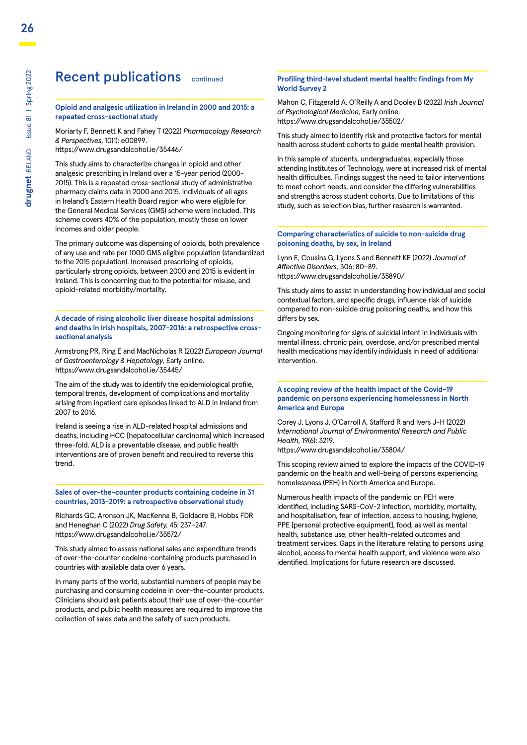### Recent publications continued

#### **Opioid and analgesic utilization in Ireland in 2000 and 2015: a repeated cross-sectional study**

Moriarty F, Bennett K and Fahey T (2022) *Pharmacology Research & Perspectives*, 10(1): e00899.

https://www.drugsandalcohol.ie/35446/

This study aims to characterize changes in opioid and other analgesic prescribing in Ireland over a 15-year period (2000- 2015). This is a repeated cross-sectional study of administrative pharmacy claims data in 2000 and 2015. Individuals of all ages in Ireland's Eastern Health Board region who were eligible for the General Medical Services (GMS) scheme were included. This scheme covers 40% of the population, mostly those on lower incomes and older people.

The primary outcome was dispensing of opioids, both prevalence of any use and rate per 1000 GMS eligible population (standardized to the 2015 population). Increased prescribing of opioids, particularly strong opioids, between 2000 and 2015 is evident in Ireland. This is concerning due to the potential for misuse, and opioid-related morbidity/mortality.

**A decade of rising alcoholic liver disease hospital admissions and deaths in Irish hospitals, 2007-2016: a retrospective crosssectional analysis**

Armstrong PR, Ring E and MacNicholas R (2022) *European Journal of Gastroenterology & Hepatology*, Early online. https://www.drugsandalcohol.ie/35445/

The aim of the study was to identify the epidemiological profile, temporal trends, development of complications and mortality arising from inpatient care episodes linked to ALD in Ireland from 2007 to 2016.

Ireland is seeing a rise in ALD-related hospital admissions and deaths, including HCC [hepatocellular carcinoma] which increased three-fold. ALD is a preventable disease, and public health interventions are of proven benefit and required to reverse this trend.

#### **Sales of over-the-counter products containing codeine in 31 countries, 2013-2019: a retrospective observational study**

Richards GC, Aronson JK, MacKenna B, Goldacre B, Hobbs FDR and Heneghan C (2022) *Drug Safety,* 45: 237–247. https://www.drugsandalcohol.ie/35572/

This study aimed to assess national sales and expenditure trends of over-the-counter codeine-containing products purchased in countries with available data over 6 years.

In many parts of the world, substantial numbers of people may be purchasing and consuming codeine in over-the-counter products. Clinicians should ask patients about their use of over-the-counter products, and public health measures are required to improve the collection of sales data and the safety of such products.

#### **Profiling third-level student mental health: findings from My World Survey 2**

Mahon C, Fitzgerald A, O'Reilly A and Dooley B (2022) *Irish Journal of Psychological Medicine*, Early online. https://www.drugsandalcohol.ie/35502/

This study aimed to identify risk and protective factors for mental health across student cohorts to guide mental health provision.

In this sample of students, undergraduates, especially those attending Institutes of Technology, were at increased risk of mental health difficulties. Findings suggest the need to tailor interventions to meet cohort needs, and consider the differing vulnerabilities and strengths across student cohorts. Due to limitations of this study, such as selection bias, further research is warranted.

#### **Comparing characteristics of suicide to non-suicide drug poisoning deaths, by sex, in Ireland**

Lynn E, Cousins G, Lyons S and Bennett KE (2022) *Journal of Affective Disorders*, 306: 80–89. https://www.drugsandalcohol.ie/35890/

This study aims to assist in understanding how individual and social contextual factors, and specific drugs, influence risk of suicide compared to non-suicide drug poisoning deaths, and how this differs by sex.

Ongoing monitoring for signs of suicidal intent in individuals with mental illness, chronic pain, overdose, and/or prescribed mental health medications may identify individuals in need of additional intervention.

#### **A scoping review of the health impact of the Covid-19 pandemic on persons experiencing homelessness in North America and Europe**

Corey J, Lyons J, O'Carroll A, Stafford R and Ivers J-H (2022) *International Journal of Environmental Research and Public Health*, 19(6): 3219. https://www.drugsandalcohol.ie/35804/

This scoping review aimed to explore the impacts of the COVID-19 pandemic on the health and well-being of persons experiencing homelessness (PEH) in North America and Europe.

Numerous health impacts of the pandemic on PEH were identified, including SARS-CoV-2 infection, morbidity, mortality, and hospitalisation, fear of infection, access to housing, hygiene, PPE [personal protective equipment], food, as well as mental health, substance use, other health-related outcomes and treatment services. Gaps in the literature relating to persons using alcohol, access to mental health support, and violence were also identified. Implications for future research are discussed.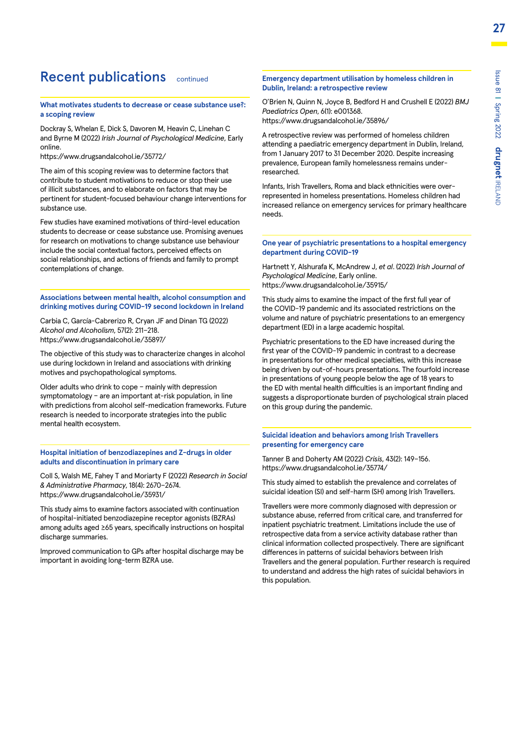### Recent publications continued

#### **What motivates students to decrease or cease substance use?: a scoping review**

Dockray S, Whelan E, Dick S, Davoren M, Heavin C, Linehan C and Byrne M (2022) *Irish Journal of Psychological Medicine*, Early online.

https://www.drugsandalcohol.ie/35772/

The aim of this scoping review was to determine factors that contribute to student motivations to reduce or stop their use of illicit substances, and to elaborate on factors that may be pertinent for student-focused behaviour change interventions for substance use.

Few studies have examined motivations of third-level education students to decrease or cease substance use. Promising avenues for research on motivations to change substance use behaviour include the social contextual factors, perceived effects on social relationships, and actions of friends and family to prompt contemplations of change.

**Associations between mental health, alcohol consumption and drinking motives during COVID-19 second lockdown in Ireland**

Carbia C, García-Cabrerizo R, Cryan JF and Dinan TG (2022) *Alcohol and Alcoholism*, 57(2): 211–218. https://www.drugsandalcohol.ie/35897/

The objective of this study was to characterize changes in alcohol use during lockdown in Ireland and associations with drinking motives and psychopathological symptoms.

Older adults who drink to cope – mainly with depression symptomatology – are an important at-risk population, in line with predictions from alcohol self-medication frameworks. Future research is needed to incorporate strategies into the public mental health ecosystem.

#### **Hospital initiation of benzodiazepines and Z-drugs in older adults and discontinuation in primary care**

Coll S, Walsh ME, Fahey T and Moriarty F (2022) *Research in Social & Administrative Pharmacy*, 18(4): 2670–2674. https://www.drugsandalcohol.ie/35931/

This study aims to examine factors associated with continuation of hospital-initiated benzodiazepine receptor agonists (BZRAs) among adults aged ≥65 years, specifically instructions on hospital discharge summaries.

Improved communication to GPs after hospital discharge may be important in avoiding long-term BZRA use.

#### **Emergency department utilisation by homeless children in Dublin, Ireland: a retrospective review**

O'Brien N, Quinn N, Joyce B, Bedford H and Crushell E (2022) *BMJ Paediatrics Open*, 6(1): e001368. https://www.drugsandalcohol.ie/35896/

A retrospective review was performed of homeless children attending a paediatric emergency department in Dublin, Ireland, from 1 January 2017 to 31 December 2020. Despite increasing prevalence, European family homelessness remains underresearched.

Infants, Irish Travellers, Roma and black ethnicities were overrepresented in homeless presentations. Homeless children had increased reliance on emergency services for primary healthcare needs.

#### **One year of psychiatric presentations to a hospital emergency department during COVID-19**

Hartnett Y, Alshurafa K, McAndrew J, *et al*. (2022) *Irish Journal of Psychological Medicine*, Early online. https://www.drugsandalcohol.ie/35915/

This study aims to examine the impact of the first full year of the COVID-19 pandemic and its associated restrictions on the volume and nature of psychiatric presentations to an emergency department (ED) in a large academic hospital.

Psychiatric presentations to the ED have increased during the first year of the COVID-19 pandemic in contrast to a decrease in presentations for other medical specialties, with this increase being driven by out-of-hours presentations. The fourfold increase in presentations of young people below the age of 18 years to the ED with mental health difficulties is an important finding and suggests a disproportionate burden of psychological strain placed on this group during the pandemic.

#### **Suicidal ideation and behaviors among Irish Travellers presenting for emergency care**

Tanner B and Doherty AM (2022) *Crisis*, 43(2): 149–156. https://www.drugsandalcohol.ie/35774/

This study aimed to establish the prevalence and correlates of suicidal ideation (SI) and self-harm (SH) among Irish Travellers.

Travellers were more commonly diagnosed with depression or substance abuse, referred from critical care, and transferred for inpatient psychiatric treatment. Limitations include the use of retrospective data from a service activity database rather than clinical information collected prospectively. There are significant differences in patterns of suicidal behaviors between Irish Travellers and the general population. Further research is required to understand and address the high rates of suicidal behaviors in this population.